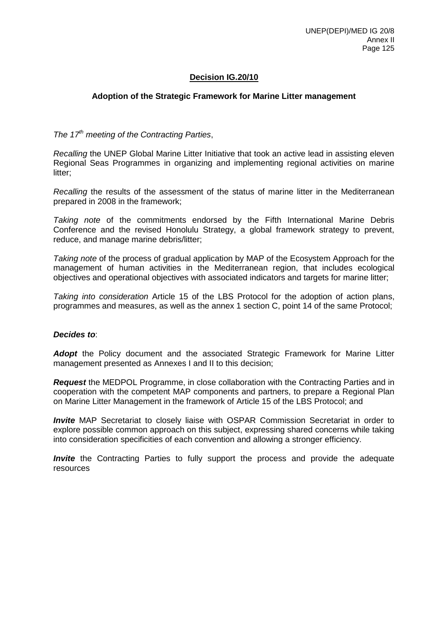## **Decision IG.20/10**

## **Adoption of the Strategic Framework for Marine Litter management**

*The 17th meeting of the Contracting Parties*,

*Recalling* the UNEP Global Marine Litter Initiative that took an active lead in assisting eleven Regional Seas Programmes in organizing and implementing regional activities on marine litter;

*Recalling* the results of the assessment of the status of marine litter in the Mediterranean prepared in 2008 in the framework;

*Taking note* of the commitments endorsed by the Fifth International Marine Debris Conference and the revised Honolulu Strategy, a global framework strategy to prevent, reduce, and manage marine debris/litter;

*Taking note* of the process of gradual application by MAP of the Ecosystem Approach for the management of human activities in the Mediterranean region, that includes ecological objectives and operational objectives with associated indicators and targets for marine litter;

*Taking into consideration* Article 15 of the LBS Protocol for the adoption of action plans, programmes and measures, as well as the annex 1 section C, point 14 of the same Protocol;

## *Decides to*:

*Adopt* the Policy document and the associated Strategic Framework for Marine Litter management presented as Annexes I and II to this decision;

*Request* the MEDPOL Programme, in close collaboration with the Contracting Parties and in cooperation with the competent MAP components and partners, to prepare a Regional Plan on Marine Litter Management in the framework of Article 15 of the LBS Protocol; and

*Invite* MAP Secretariat to closely liaise with OSPAR Commission Secretariat in order to explore possible common approach on this subject, expressing shared concerns while taking into consideration specificities of each convention and allowing a stronger efficiency.

*Invite* the Contracting Parties to fully support the process and provide the adequate resources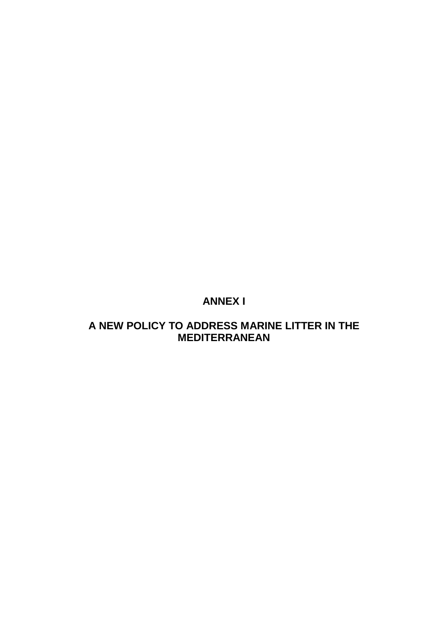# **ANNEX I**

# **A NEW POLICY TO ADDRESS MARINE LITTER IN THE MEDITERRANEAN**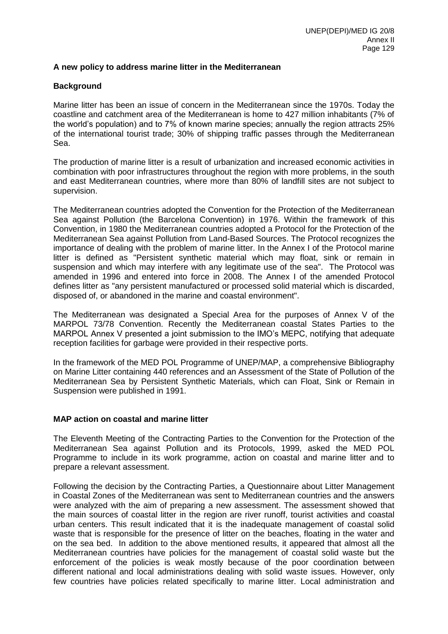## **A new policy to address marine litter in the Mediterranean**

## **Background**

Marine litter has been an issue of concern in the Mediterranean since the 1970s. Today the coastline and catchment area of the Mediterranean is home to 427 million inhabitants (7% of the world's population) and to 7% of known marine species; annually the region attracts 25% of the international tourist trade; 30% of shipping traffic passes through the Mediterranean Sea.

The production of marine litter is a result of urbanization and increased economic activities in combination with poor infrastructures throughout the region with more problems, in the south and east Mediterranean countries, where more than 80% of landfill sites are not subject to supervision.

The Mediterranean countries adopted the Convention for the Protection of the Mediterranean Sea against Pollution (the Barcelona Convention) in 1976. Within the framework of this Convention, in 1980 the Mediterranean countries adopted a Protocol for the Protection of the Mediterranean Sea against Pollution from Land-Based Sources. The Protocol recognizes the importance of dealing with the problem of marine litter. In the Annex I of the Protocol marine litter is defined as "Persistent synthetic material which may float, sink or remain in suspension and which may interfere with any legitimate use of the sea". The Protocol was amended in 1996 and entered into force in 2008. The Annex I of the amended Protocol defines litter as "any persistent manufactured or processed solid material which is discarded, disposed of, or abandoned in the marine and coastal environment".

The Mediterranean was designated a Special Area for the purposes of Annex V of the MARPOL 73/78 Convention. Recently the Mediterranean coastal States Parties to the MARPOL Annex V presented a joint submission to the IMO's MEPC, notifying that adequate reception facilities for garbage were provided in their respective ports.

In the framework of the MED POL Programme of UNEP/MAP, a comprehensive Bibliography on Marine Litter containing 440 references and an Assessment of the State of Pollution of the Mediterranean Sea by Persistent Synthetic Materials, which can Float, Sink or Remain in Suspension were published in 1991.

## **MAP action on coastal and marine litter**

The Eleventh Meeting of the Contracting Parties to the Convention for the Protection of the Mediterranean Sea against Pollution and its Protocols, 1999, asked the MED POL Programme to include in its work programme, action on coastal and marine litter and to prepare a relevant assessment.

Following the decision by the Contracting Parties, a Questionnaire about Litter Management in Coastal Zones of the Mediterranean was sent to Mediterranean countries and the answers were analyzed with the aim of preparing a new assessment. The assessment showed that the main sources of coastal litter in the region are river runoff, tourist activities and coastal urban centers. This result indicated that it is the inadequate management of coastal solid waste that is responsible for the presence of litter on the beaches, floating in the water and on the sea bed. In addition to the above mentioned results, it appeared that almost all the Mediterranean countries have policies for the management of coastal solid waste but the enforcement of the policies is weak mostly because of the poor coordination between different national and local administrations dealing with solid waste issues. However, only few countries have policies related specifically to marine litter. Local administration and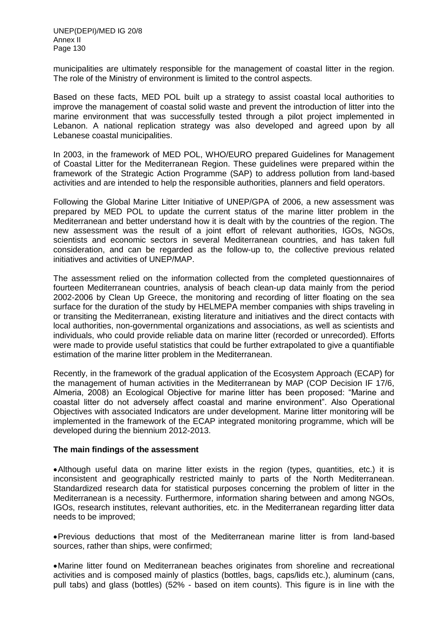municipalities are ultimately responsible for the management of coastal litter in the region. The role of the Ministry of environment is limited to the control aspects.

Based on these facts, MED POL built up a strategy to assist coastal local authorities to improve the management of coastal solid waste and prevent the introduction of litter into the marine environment that was successfully tested through a pilot project implemented in Lebanon. A national replication strategy was also developed and agreed upon by all Lebanese coastal municipalities.

In 2003, in the framework of MED POL, WHO/EURO prepared Guidelines for Management of Coastal Litter for the Mediterranean Region. These guidelines were prepared within the framework of the Strategic Action Programme (SAP) to address pollution from land-based activities and are intended to help the responsible authorities, planners and field operators.

Following the Global Marine Litter Initiative of UNEP/GPA of 2006, a new assessment was prepared by MED POL to update the current status of the marine litter problem in the Mediterranean and better understand how it is dealt with by the countries of the region. The new assessment was the result of a joint effort of relevant authorities, IGOs, NGOs, scientists and economic sectors in several Mediterranean countries, and has taken full consideration, and can be regarded as the follow-up to, the collective previous related initiatives and activities of UNEP/MAP.

The assessment relied on the information collected from the completed questionnaires of fourteen Mediterranean countries, analysis of beach clean-up data mainly from the period 2002-2006 by Clean Up Greece, the monitoring and recording of litter floating on the sea surface for the duration of the study by HELMEPA member companies with ships traveling in or transiting the Mediterranean, existing literature and initiatives and the direct contacts with local authorities, non-governmental organizations and associations, as well as scientists and individuals, who could provide reliable data on marine litter (recorded or unrecorded). Efforts were made to provide useful statistics that could be further extrapolated to give a quantifiable estimation of the marine litter problem in the Mediterranean.

Recently, in the framework of the gradual application of the Ecosystem Approach (ECAP) for the management of human activities in the Mediterranean by MAP (COP Decision IF 17/6, Almeria, 2008) an Ecological Objective for marine litter has been proposed: "Marine and coastal litter do not adversely affect coastal and marine environment". Also Operational Objectives with associated Indicators are under development. Marine litter monitoring will be implemented in the framework of the ECAP integrated monitoring programme, which will be developed during the biennium 2012-2013.

#### **The main findings of the assessment**

Although useful data on marine litter exists in the region (types, quantities, etc.) it is inconsistent and geographically restricted mainly to parts of the North Mediterranean. Standardized research data for statistical purposes concerning the problem of litter in the Mediterranean is a necessity. Furthermore, information sharing between and among NGOs, IGOs, research institutes, relevant authorities, etc. in the Mediterranean regarding litter data needs to be improved;

Previous deductions that most of the Mediterranean marine litter is from land-based sources, rather than ships, were confirmed;

Marine litter found on Mediterranean beaches originates from shoreline and recreational activities and is composed mainly of plastics (bottles, bags, caps/lids etc.), aluminum (cans, pull tabs) and glass (bottles) (52% - based on item counts). This figure is in line with the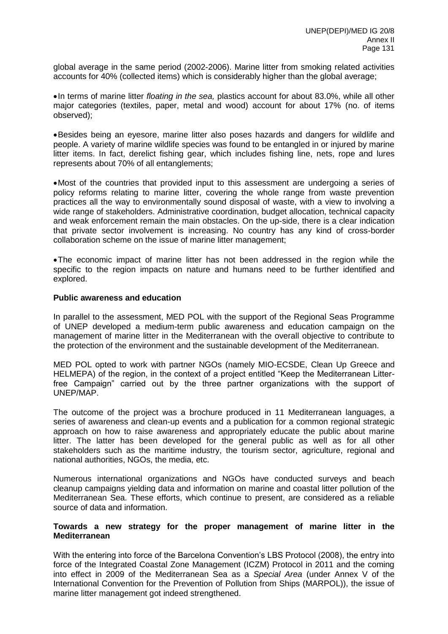global average in the same period (2002-2006). Marine litter from smoking related activities accounts for 40% (collected items) which is considerably higher than the global average;

In terms of marine litter *floating in the sea,* plastics account for about 83.0%, while all other major categories (textiles, paper, metal and wood) account for about 17% (no. of items observed);

Besides being an eyesore, marine litter also poses hazards and dangers for wildlife and people. A variety of marine wildlife species was found to be entangled in or injured by marine litter items. In fact, derelict fishing gear, which includes fishing line, nets, rope and lures represents about 70% of all entanglements;

Most of the countries that provided input to this assessment are undergoing a series of policy reforms relating to marine litter, covering the whole range from waste prevention practices all the way to environmentally sound disposal of waste, with a view to involving a wide range of stakeholders. Administrative coordination, budget allocation, technical capacity and weak enforcement remain the main obstacles. On the up-side, there is a clear indication that private sector involvement is increasing. No country has any kind of cross-border collaboration scheme on the issue of marine litter management;

The economic impact of marine litter has not been addressed in the region while the specific to the region impacts on nature and humans need to be further identified and explored.

#### **Public awareness and education**

In parallel to the assessment, MED POL with the support of the Regional Seas Programme of UNEP developed a medium-term public awareness and education campaign on the management of marine litter in the Mediterranean with the overall objective to contribute to the protection of the environment and the sustainable development of the Mediterranean.

MED POL opted to work with partner NGOs (namely MIO-ECSDE, Clean Up Greece and HELMEPA) of the region, in the context of a project entitled "Keep the Mediterranean Litterfree Campaign" carried out by the three partner organizations with the support of UNEP/MAP.

The outcome of the project was a brochure produced in 11 Mediterranean languages, a series of awareness and clean-up events and a publication for a common regional strategic approach on how to raise awareness and appropriately educate the public about marine litter. The latter has been developed for the general public as well as for all other stakeholders such as the maritime industry, the tourism sector, agriculture, regional and national authorities, NGOs, the media, etc.

Numerous international organizations and NGOs have conducted surveys and beach cleanup campaigns yielding data and information on marine and coastal litter pollution of the Mediterranean Sea. These efforts, which continue to present, are considered as a reliable source of data and information.

#### **Towards a new strategy for the proper management of marine litter in the Mediterranean**

With the entering into force of the Barcelona Convention's LBS Protocol (2008), the entry into force of the Integrated Coastal Zone Management (ICZM) Protocol in 2011 and the coming into effect in 2009 of the Mediterranean Sea as a *Special Area* (under Annex V of the International Convention for the Prevention of Pollution from Ships (MARPOL)), the issue of marine litter management got indeed strengthened.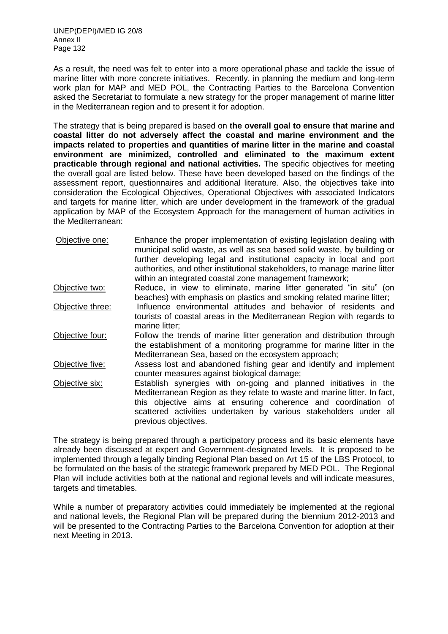As a result, the need was felt to enter into a more operational phase and tackle the issue of marine litter with more concrete initiatives. Recently, in planning the medium and long-term work plan for MAP and MED POL, the Contracting Parties to the Barcelona Convention asked the Secretariat to formulate a new strategy for the proper management of marine litter in the Mediterranean region and to present it for adoption.

The strategy that is being prepared is based on **the overall goal to ensure that marine and coastal litter do not adversely affect the coastal and marine environment and the impacts related to properties and quantities of marine litter in the marine and coastal environment are minimized, controlled and eliminated to the maximum extent practicable through regional and national activities.** The specific objectives for meeting the overall goal are listed below. These have been developed based on the findings of the assessment report, questionnaires and additional literature. Also, the objectives take into consideration the Ecological Objectives, Operational Objectives with associated Indicators and targets for marine litter, which are under development in the framework of the gradual application by MAP of the Ecosystem Approach for the management of human activities in the Mediterranean:

| Objective one:   | Enhance the proper implementation of existing legislation dealing with<br>municipal solid waste, as well as sea based solid waste, by building or<br>further developing legal and institutional capacity in local and port<br>authorities, and other institutional stakeholders, to manage marine litter<br>within an integrated coastal zone management framework; |
|------------------|---------------------------------------------------------------------------------------------------------------------------------------------------------------------------------------------------------------------------------------------------------------------------------------------------------------------------------------------------------------------|
| Objective two:   | Reduce, in view to eliminate, marine litter generated "in situ" (on<br>beaches) with emphasis on plastics and smoking related marine litter;                                                                                                                                                                                                                        |
| Objective three: | Influence environmental attitudes and behavior of residents and<br>tourists of coastal areas in the Mediterranean Region with regards to<br>marine litter;                                                                                                                                                                                                          |
| Objective four:  | Follow the trends of marine litter generation and distribution through<br>the establishment of a monitoring programme for marine litter in the<br>Mediterranean Sea, based on the ecosystem approach;                                                                                                                                                               |
| Objective five:  | Assess lost and abandoned fishing gear and identify and implement<br>counter measures against biological damage;                                                                                                                                                                                                                                                    |
| Objective six:   | Establish synergies with on-going and planned initiatives in the<br>Mediterranean Region as they relate to waste and marine litter. In fact,<br>this objective aims at ensuring coherence and coordination of<br>scattered activities undertaken by various stakeholders under all<br>previous objectives.                                                          |

The strategy is being prepared through a participatory process and its basic elements have already been discussed at expert and Government-designated levels. It is proposed to be implemented through a legally binding Regional Plan based on Art 15 of the LBS Protocol, to be formulated on the basis of the strategic framework prepared by MED POL. The Regional Plan will include activities both at the national and regional levels and will indicate measures, targets and timetables.

While a number of preparatory activities could immediately be implemented at the regional and national levels, the Regional Plan will be prepared during the biennium 2012-2013 and will be presented to the Contracting Parties to the Barcelona Convention for adoption at their next Meeting in 2013.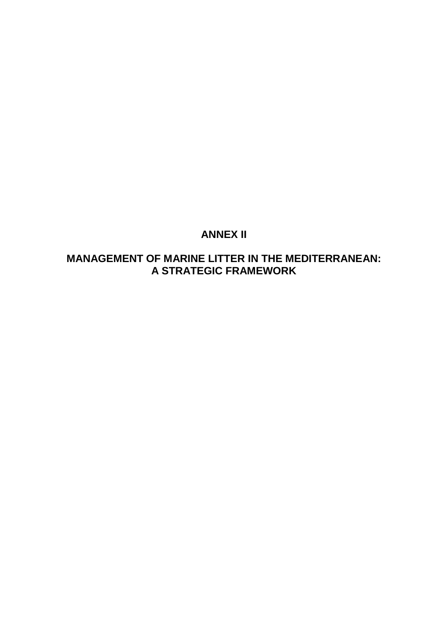# **ANNEX II**

# **MANAGEMENT OF MARINE LITTER IN THE MEDITERRANEAN: A STRATEGIC FRAMEWORK**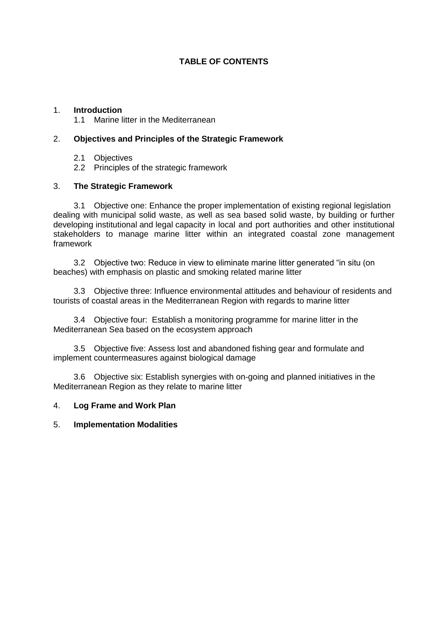## **TABLE OF CONTENTS**

## 1. **Introduction**

1.1 Marine litter in the Mediterranean

## 2. **Objectives and Principles of the Strategic Framework**

- 2.1 Objectives
- 2.2 Principles of the strategic framework

#### 3. **The Strategic Framework**

3.1 Objective one: Enhance the proper implementation of existing regional legislation dealing with municipal solid waste, as well as sea based solid waste, by building or further developing institutional and legal capacity in local and port authorities and other institutional stakeholders to manage marine litter within an integrated coastal zone management framework

3.2 Objective two: Reduce in view to eliminate marine litter generated "in situ (on beaches) with emphasis on plastic and smoking related marine litter

3.3 Objective three: Influence environmental attitudes and behaviour of residents and tourists of coastal areas in the Mediterranean Region with regards to marine litter

3.4 Objective four: Establish a monitoring programme for marine litter in the Mediterranean Sea based on the ecosystem approach

3.5 Objective five: Assess lost and abandoned fishing gear and formulate and implement countermeasures against biological damage

3.6 Objective six: Establish synergies with on-going and planned initiatives in the Mediterranean Region as they relate to marine litter

#### 4. **Log Frame and Work Plan**

## 5. **Implementation Modalities**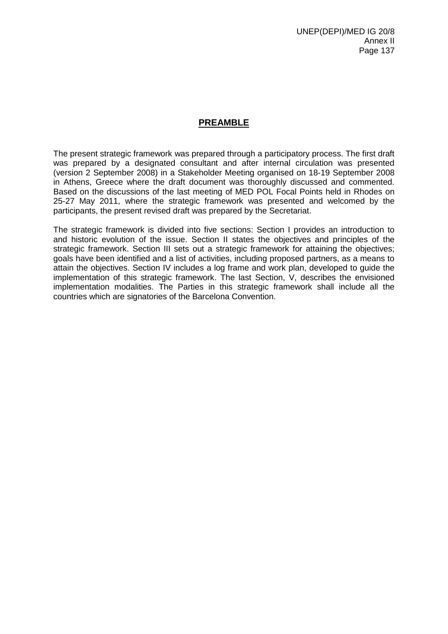## **PREAMBLE**

The present strategic framework was prepared through a participatory process. The first draft was prepared by a designated consultant and after internal circulation was presented (version 2 September 2008) in a Stakeholder Meeting organised on 18-19 September 2008 in Athens, Greece where the draft document was thoroughly discussed and commented. Based on the discussions of the last meeting of MED POL Focal Points held in Rhodes on 25-27 May 2011, where the strategic framework was presented and welcomed by the participants, the present revised draft was prepared by the Secretariat.

The strategic framework is divided into five sections: Section I provides an introduction to and historic evolution of the issue. Section II states the objectives and principles of the strategic framework. Section III sets out a strategic framework for attaining the objectives; goals have been identified and a list of activities, including proposed partners, as a means to attain the objectives. Section IV includes a log frame and work plan, developed to guide the implementation of this strategic framework. The last Section, V, describes the envisioned implementation modalities. The Parties in this strategic framework shall include all the countries which are signatories of the Barcelona Convention.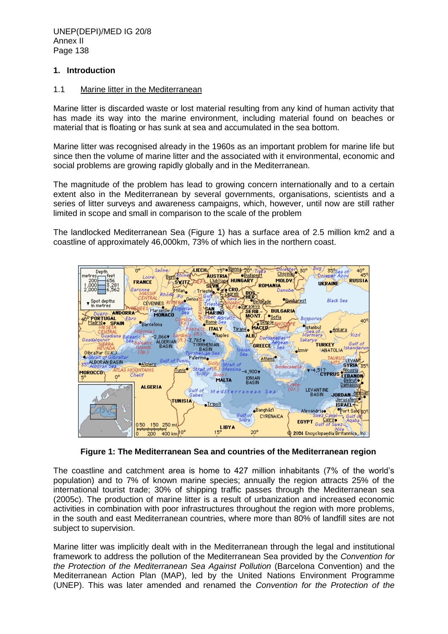## **1. Introduction**

### 1.1 Marine litter in the Mediterranean

Marine litter is discarded waste or lost material resulting from any kind of human activity that has made its way into the marine environment, including material found on beaches or material that is floating or has sunk at sea and accumulated in the sea bottom.

Marine litter was recognised already in the 1960s as an important problem for marine life but since then the volume of marine litter and the associated with it environmental, economic and social problems are growing rapidly globally and in the Mediterranean.

The magnitude of the problem has lead to growing concern internationally and to a certain extent also in the Mediterranean by several governments, organisations, scientists and a series of litter surveys and awareness campaigns, which, however, until now are still rather limited in scope and small in comparison to the scale of the problem

The landlocked Mediterranean Sea (Figure 1) has a surface area of 2.5 million km2 and a coastline of approximately 46,000km, 73% of which lies in the northern coast.



**Figure 1: The Mediterranean Sea and countries of the Mediterranean region**

The coastline and catchment area is home to 427 million inhabitants (7% of the world's population) and to 7% of known marine species; annually the region attracts 25% of the international tourist trade; 30% of shipping traffic passes through the Mediterranean sea (2005c). The production of marine litter is a result of urbanization and increased economic activities in combination with poor infrastructures throughout the region with more problems, in the south and east Mediterranean countries, where more than 80% of landfill sites are not subject to supervision.

Marine litter was implicitly dealt with in the Mediterranean through the legal and institutional framework to address the pollution of the Mediterranean Sea provided by the *Convention for the Protection of the Mediterranean Sea Against Pollution* (Barcelona Convention) and the Mediterranean Action Plan (MAP), led by the United Nations Environment Programme (UNEP). This was later amended and renamed the *Convention for the Protection of the*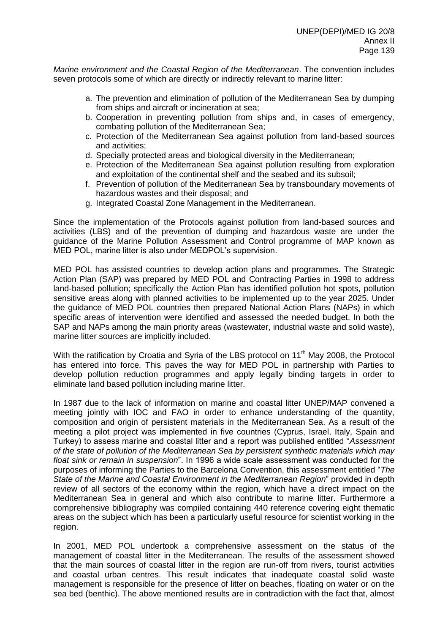*Marine environment and the Coastal Region of the Mediterranean*. The convention includes seven protocols some of which are directly or indirectly relevant to marine litter:

- a. The prevention and elimination of pollution of the Mediterranean Sea by dumping from ships and aircraft or incineration at sea;
- b. Cooperation in preventing pollution from ships and, in cases of emergency, combating pollution of the Mediterranean Sea;
- c. Protection of the Mediterranean Sea against pollution from land-based sources and activities;
- d. Specially protected areas and biological diversity in the Mediterranean;
- e. Protection of the Mediterranean Sea against pollution resulting from exploration and exploitation of the continental shelf and the seabed and its subsoil;
- f. Prevention of pollution of the Mediterranean Sea by transboundary movements of hazardous wastes and their disposal; and
- g. Integrated Coastal Zone Management in the Mediterranean.

Since the implementation of the Protocols against pollution from land-based sources and activities (LBS) and of the prevention of dumping and hazardous waste are under the guidance of the Marine Pollution Assessment and Control programme of MAP known as MED POL, marine litter is also under MEDPOL's supervision.

MED POL has assisted countries to develop action plans and programmes. The Strategic Action Plan (SAP) was prepared by MED POL and Contracting Parties in 1998 to address land-based pollution; specifically the Action Plan has identified pollution hot spots, pollution sensitive areas along with planned activities to be implemented up to the year 2025. Under the guidance of MED POL countries then prepared National Action Plans (NAPs) in which specific areas of intervention were identified and assessed the needed budget. In both the SAP and NAPs among the main priority areas (wastewater, industrial waste and solid waste), marine litter sources are implicitly included.

With the ratification by Croatia and Syria of the LBS protocol on 11<sup>th</sup> May 2008, the Protocol has entered into force. This paves the way for MED POL in partnership with Parties to develop pollution reduction programmes and apply legally binding targets in order to eliminate land based pollution including marine litter.

In 1987 due to the lack of information on marine and coastal litter UNEP/MAP convened a meeting jointly with IOC and FAO in order to enhance understanding of the quantity, composition and origin of persistent materials in the Mediterranean Sea. As a result of the meeting a pilot project was implemented in five countries (Cyprus, Israel, Italy, Spain and Turkey) to assess marine and coastal litter and a report was published entitled "*Assessment of the state of pollution of the Mediterranean Sea by persistent synthetic materials which may float sink or remain in suspension*". In 1996 a wide scale assessment was conducted for the purposes of informing the Parties to the Barcelona Convention, this assessment entitled "*The State of the Marine and Coastal Environment in the Mediterranean Region*" provided in depth review of all sectors of the economy within the region, which have a direct impact on the Mediterranean Sea in general and which also contribute to marine litter. Furthermore a comprehensive bibliography was compiled containing 440 reference covering eight thematic areas on the subject which has been a particularly useful resource for scientist working in the region.

In 2001, MED POL undertook a comprehensive assessment on the status of the management of coastal litter in the Mediterranean. The results of the assessment showed that the main sources of coastal litter in the region are run-off from rivers, tourist activities and coastal urban centres. This result indicates that inadequate coastal solid waste management is responsible for the presence of litter on beaches, floating on water or on the sea bed (benthic). The above mentioned results are in contradiction with the fact that, almost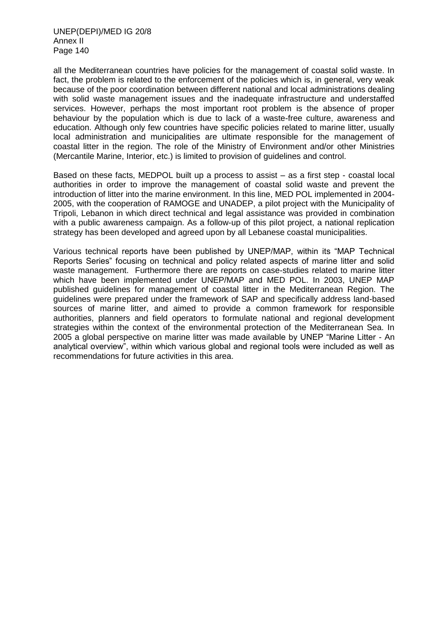all the Mediterranean countries have policies for the management of coastal solid waste. In fact, the problem is related to the enforcement of the policies which is, in general, very weak because of the poor coordination between different national and local administrations dealing with solid waste management issues and the inadequate infrastructure and understaffed services. However, perhaps the most important root problem is the absence of proper behaviour by the population which is due to lack of a waste-free culture, awareness and education. Although only few countries have specific policies related to marine litter, usually local administration and municipalities are ultimate responsible for the management of coastal litter in the region. The role of the Ministry of Environment and/or other Ministries (Mercantile Marine, Interior, etc.) is limited to provision of guidelines and control.

Based on these facts, MEDPOL built up a process to assist – as a first step - coastal local authorities in order to improve the management of coastal solid waste and prevent the introduction of litter into the marine environment. In this line, MED POL implemented in 2004- 2005, with the cooperation of RAMOGE and UNADEP, a pilot project with the Municipality of Tripoli, Lebanon in which direct technical and legal assistance was provided in combination with a public awareness campaign. As a follow-up of this pilot project, a national replication strategy has been developed and agreed upon by all Lebanese coastal municipalities.

Various technical reports have been published by UNEP/MAP, within its "MAP Technical Reports Series" focusing on technical and policy related aspects of marine litter and solid waste management. Furthermore there are reports on case-studies related to marine litter which have been implemented under UNEP/MAP and MED POL. In 2003, UNEP MAP published guidelines for management of coastal litter in the Mediterranean Region. The guidelines were prepared under the framework of SAP and specifically address land-based sources of marine litter, and aimed to provide a common framework for responsible authorities, planners and field operators to formulate national and regional development strategies within the context of the environmental protection of the Mediterranean Sea. In 2005 a global perspective on marine litter was made available by UNEP "Marine Litter - An analytical overview", within which various global and regional tools were included as well as recommendations for future activities in this area.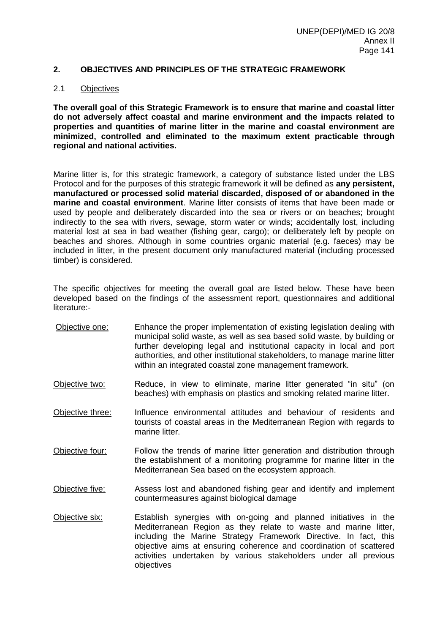#### **2. OBJECTIVES AND PRINCIPLES OF THE STRATEGIC FRAMEWORK**

#### 2.1 Objectives

**The overall goal of this Strategic Framework is to ensure that marine and coastal litter do not adversely affect coastal and marine environment and the impacts related to properties and quantities of marine litter in the marine and coastal environment are minimized, controlled and eliminated to the maximum extent practicable through regional and national activities.**

Marine litter is, for this strategic framework, a category of substance listed under the LBS Protocol and for the purposes of this strategic framework it will be defined as **any persistent, manufactured or processed solid material discarded, disposed of or abandoned in the marine and coastal environment**. Marine litter consists of items that have been made or used by people and deliberately discarded into the sea or rivers or on beaches; brought indirectly to the sea with rivers, sewage, storm water or winds; accidentally lost, including material lost at sea in bad weather (fishing gear, cargo); or deliberately left by people on beaches and shores. Although in some countries organic material (e.g. faeces) may be included in litter, in the present document only manufactured material (including processed timber) is considered.

The specific objectives for meeting the overall goal are listed below. These have been developed based on the findings of the assessment report, questionnaires and additional literature:-

- Objective one: Enhance the proper implementation of existing legislation dealing with municipal solid waste, as well as sea based solid waste, by building or further developing legal and institutional capacity in local and port authorities, and other institutional stakeholders, to manage marine litter within an integrated coastal zone management framework.
- Objective two: Reduce, in view to eliminate, marine litter generated "in situ" (on beaches) with emphasis on plastics and smoking related marine litter.
- Objective three: Influence environmental attitudes and behaviour of residents and tourists of coastal areas in the Mediterranean Region with regards to marine litter.
- Objective four: Follow the trends of marine litter generation and distribution through the establishment of a monitoring programme for marine litter in the Mediterranean Sea based on the ecosystem approach.
- Objective five: Assess lost and abandoned fishing gear and identify and implement countermeasures against biological damage
- Objective six: Establish synergies with on-going and planned initiatives in the Mediterranean Region as they relate to waste and marine litter, including the Marine Strategy Framework Directive. In fact, this objective aims at ensuring coherence and coordination of scattered activities undertaken by various stakeholders under all previous objectives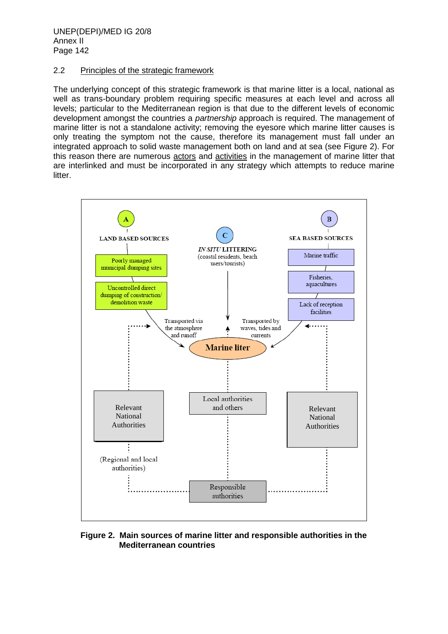## 2.2 Principles of the strategic framework

The underlying concept of this strategic framework is that marine litter is a local, national as well as trans-boundary problem requiring specific measures at each level and across all levels; particular to the Mediterranean region is that due to the different levels of economic development amongst the countries a *partnership* approach is required. The management of marine litter is not a standalone activity; removing the eyesore which marine litter causes is only treating the symptom not the cause, therefore its management must fall under an integrated approach to solid waste management both on land and at sea (see Figure 2). For this reason there are numerous actors and activities in the management of marine litter that are interlinked and must be incorporated in any strategy which attempts to reduce marine litter.



#### **Figure 2. Main sources of marine litter and responsible authorities in the Mediterranean countries**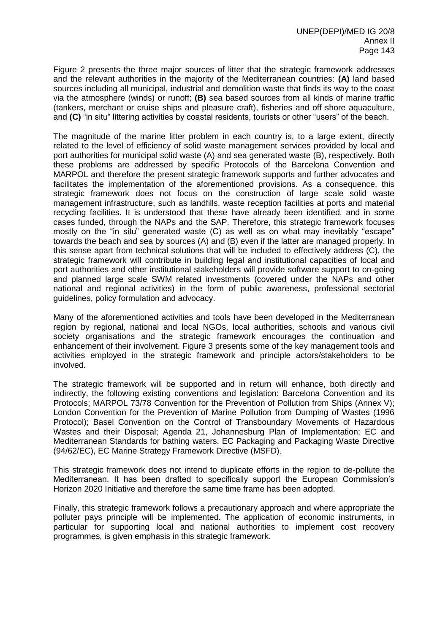Figure 2 presents the three major sources of litter that the strategic framework addresses and the relevant authorities in the majority of the Mediterranean countries: **(A)** land based sources including all municipal, industrial and demolition waste that finds its way to the coast via the atmosphere (winds) or runoff; **(B)** sea based sources from all kinds of marine traffic (tankers, merchant or cruise ships and pleasure craft), fisheries and off shore aquaculture, and **(C)** "in situ" littering activities by coastal residents, tourists or other "users" of the beach.

The magnitude of the marine litter problem in each country is, to a large extent, directly related to the level of efficiency of solid waste management services provided by local and port authorities for municipal solid waste (A) and sea generated waste (B), respectively. Both these problems are addressed by specific Protocols of the Barcelona Convention and MARPOL and therefore the present strategic framework supports and further advocates and facilitates the implementation of the aforementioned provisions. As a consequence, this strategic framework does not focus on the construction of large scale solid waste management infrastructure, such as landfills, waste reception facilities at ports and material recycling facilities. It is understood that these have already been identified, and in some cases funded, through the NAPs and the SAP. Therefore, this strategic framework focuses mostly on the "in situ" generated waste (C) as well as on what may inevitably "escape" towards the beach and sea by sources (A) and (B) even if the latter are managed properly. In this sense apart from technical solutions that will be included to effectively address (C), the strategic framework will contribute in building legal and institutional capacities of local and port authorities and other institutional stakeholders will provide software support to on-going and planned large scale SWM related investments (covered under the NAPs and other national and regional activities) in the form of public awareness, professional sectorial guidelines, policy formulation and advocacy.

Many of the aforementioned activities and tools have been developed in the Mediterranean region by regional, national and local NGOs, local authorities, schools and various civil society organisations and the strategic framework encourages the continuation and enhancement of their involvement. Figure 3 presents some of the key management tools and activities employed in the strategic framework and principle actors/stakeholders to be involved.

The strategic framework will be supported and in return will enhance, both directly and indirectly, the following existing conventions and legislation: Barcelona Convention and its Protocols; MARPOL 73/78 Convention for the Prevention of Pollution from Ships (Annex V); London Convention for the Prevention of Marine Pollution from Dumping of Wastes (1996 Protocol); Basel Convention on the Control of Transboundary Movements of Hazardous Wastes and their Disposal; Agenda 21, Johannesburg Plan of Implementation; EC and Mediterranean Standards for bathing waters, EC Packaging and Packaging Waste Directive (94/62/EC), EC Marine Strategy Framework Directive (MSFD).

This strategic framework does not intend to duplicate efforts in the region to de-pollute the Mediterranean. It has been drafted to specifically support the European Commission's Horizon 2020 Initiative and therefore the same time frame has been adopted.

Finally, this strategic framework follows a precautionary approach and where appropriate the polluter pays principle will be implemented. The application of economic instruments, in particular for supporting local and national authorities to implement cost recovery programmes, is given emphasis in this strategic framework.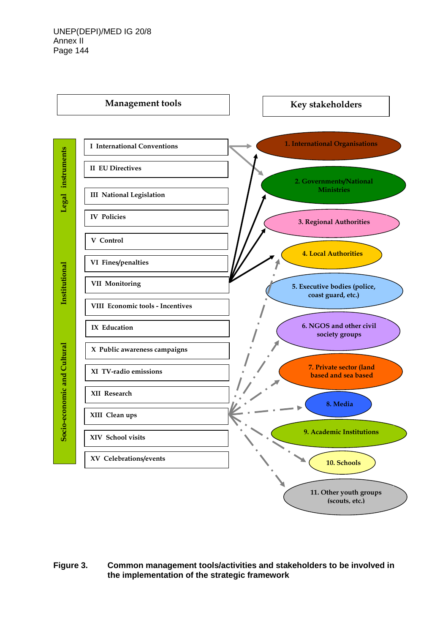

**Figure 3. Common management tools/activities and stakeholders to be involved in the implementation of the strategic framework**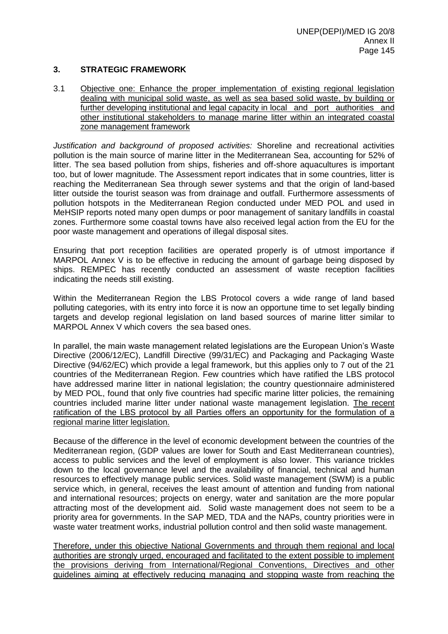## **3. STRATEGIC FRAMEWORK**

3.1 Objective one: Enhance the proper implementation of existing regional legislation dealing with municipal solid waste, as well as sea based solid waste, by building or further developing institutional and legal capacity in local and port authorities and other institutional stakeholders to manage marine litter within an integrated coastal zone management framework

*Justification and background of proposed activities:* Shoreline and recreational activities pollution is the main source of marine litter in the Mediterranean Sea, accounting for 52% of litter. The sea based pollution from ships, fisheries and off-shore aquacultures is important too, but of lower magnitude. The Assessment report indicates that in some countries, litter is reaching the Mediterranean Sea through sewer systems and that the origin of land-based litter outside the tourist season was from drainage and outfall. Furthermore assessments of pollution hotspots in the Mediterranean Region conducted under MED POL and used in MeHSIP reports noted many open dumps or poor management of sanitary landfills in coastal zones. Furthermore some coastal towns have also received legal action from the EU for the poor waste management and operations of illegal disposal sites.

Ensuring that port reception facilities are operated properly is of utmost importance if MARPOL Annex V is to be effective in reducing the amount of garbage being disposed by ships. REMPEC has recently conducted an assessment of waste reception facilities indicating the needs still existing.

Within the Mediterranean Region the LBS Protocol covers a wide range of land based polluting categories, with its entry into force it is now an opportune time to set legally binding targets and develop regional legislation on land based sources of marine litter similar to MARPOL Annex V which covers the sea based ones.

In parallel, the main waste management related legislations are the European Union's Waste Directive (2006/12/EC), Landfill Directive (99/31/EC) and Packaging and Packaging Waste Directive (94/62/EC) which provide a legal framework, but this applies only to 7 out of the 21 countries of the Mediterranean Region. Few countries which have ratified the LBS protocol have addressed marine litter in national legislation; the country questionnaire administered by MED POL, found that only five countries had specific marine litter policies, the remaining countries included marine litter under national waste management legislation. The recent ratification of the LBS protocol by all Parties offers an opportunity for the formulation of a regional marine litter legislation.

Because of the difference in the level of economic development between the countries of the Mediterranean region, (GDP values are lower for South and East Mediterranean countries), access to public services and the level of employment is also lower. This variance trickles down to the local governance level and the availability of financial, technical and human resources to effectively manage public services. Solid waste management (SWM) is a public service which, in general, receives the least amount of attention and funding from national and international resources; projects on energy, water and sanitation are the more popular attracting most of the development aid. Solid waste management does not seem to be a priority area for governments. In the SAP MED, TDA and the NAPs, country priorities were in waste water treatment works, industrial pollution control and then solid waste management.

Therefore, under this objective National Governments and through them regional and local authorities are strongly urged, encouraged and facilitated to the extent possible to implement the provisions deriving from International/Regional Conventions, Directives and other guidelines aiming at effectively reducing managing and stopping waste from reaching the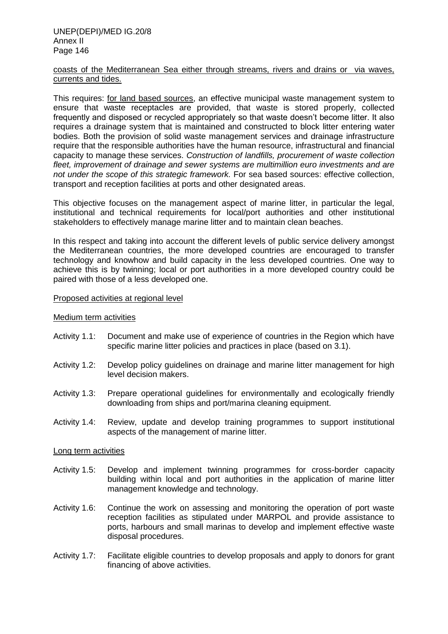#### UNEP(DEPI)/MED IG.20/8 Annex II Page 146

#### coasts of the Mediterranean Sea either through streams, rivers and drains or via waves, currents and tides.

This requires: for land based sources, an effective municipal waste management system to ensure that waste receptacles are provided, that waste is stored properly, collected frequently and disposed or recycled appropriately so that waste doesn't become litter. It also requires a drainage system that is maintained and constructed to block litter entering water bodies. Both the provision of solid waste management services and drainage infrastructure require that the responsible authorities have the human resource, infrastructural and financial capacity to manage these services. *Construction of landfills, procurement of waste collection fleet, improvement of drainage and sewer systems are multimillion euro investments and are not under the scope of this strategic framework.* For sea based sources: effective collection, transport and reception facilities at ports and other designated areas.

This objective focuses on the management aspect of marine litter, in particular the legal, institutional and technical requirements for local/port authorities and other institutional stakeholders to effectively manage marine litter and to maintain clean beaches.

In this respect and taking into account the different levels of public service delivery amongst the Mediterranean countries, the more developed countries are encouraged to transfer technology and knowhow and build capacity in the less developed countries. One way to achieve this is by twinning; local or port authorities in a more developed country could be paired with those of a less developed one.

#### Proposed activities at regional level

#### Medium term activities

- Activity 1.1: Document and make use of experience of countries in the Region which have specific marine litter policies and practices in place (based on 3.1).
- Activity 1.2: Develop policy guidelines on drainage and marine litter management for high level decision makers.
- Activity 1.3: Prepare operational guidelines for environmentally and ecologically friendly downloading from ships and port/marina cleaning equipment.
- Activity 1.4: Review, update and develop training programmes to support institutional aspects of the management of marine litter.

#### Long term activities

- Activity 1.5: Develop and implement twinning programmes for cross-border capacity building within local and port authorities in the application of marine litter management knowledge and technology.
- Activity 1.6: Continue the work on assessing and monitoring the operation of port waste reception facilities as stipulated under MARPOL and provide assistance to ports, harbours and small marinas to develop and implement effective waste disposal procedures.
- Activity 1.7: Facilitate eligible countries to develop proposals and apply to donors for grant financing of above activities.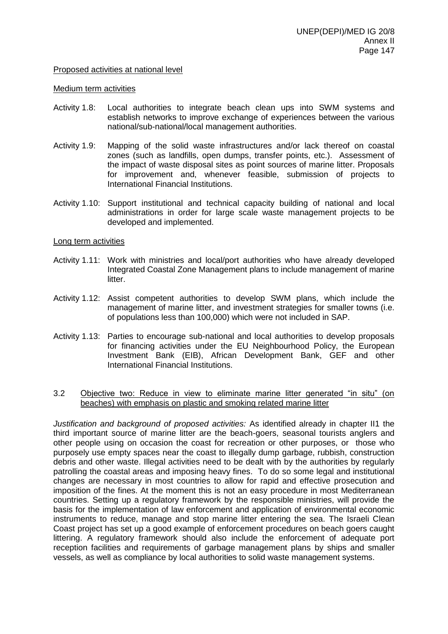#### Proposed activities at national level

#### Medium term activities

- Activity 1.8: Local authorities to integrate beach clean ups into SWM systems and establish networks to improve exchange of experiences between the various national/sub-national/local management authorities.
- Activity 1.9: Mapping of the solid waste infrastructures and/or lack thereof on coastal zones (such as landfills, open dumps, transfer points, etc.). Assessment of the impact of waste disposal sites as point sources of marine litter. Proposals for improvement and, whenever feasible, submission of projects to International Financial Institutions.
- Activity 1.10: Support institutional and technical capacity building of national and local administrations in order for large scale waste management projects to be developed and implemented.

#### Long term activities

- Activity 1.11: Work with ministries and local/port authorities who have already developed Integrated Coastal Zone Management plans to include management of marine litter.
- Activity 1.12: Assist competent authorities to develop SWM plans, which include the management of marine litter, and investment strategies for smaller towns (i.e. of populations less than 100,000) which were not included in SAP.
- Activity 1.13: Parties to encourage sub-national and local authorities to develop proposals for financing activities under the EU Neighbourhood Policy, the European Investment Bank (EIB), African Development Bank, GEF and other International Financial Institutions.

#### 3.2 Objective two: Reduce in view to eliminate marine litter generated "in situ" (on beaches) with emphasis on plastic and smoking related marine litter

*Justification and background of proposed activities:* As identified already in chapter II1 the third important source of marine litter are the beach-goers, seasonal tourists anglers and other people using on occasion the coast for recreation or other purposes, or those who purposely use empty spaces near the coast to illegally dump garbage, rubbish, construction debris and other waste. Illegal activities need to be dealt with by the authorities by regularly patrolling the coastal areas and imposing heavy fines. To do so some legal and institutional changes are necessary in most countries to allow for rapid and effective prosecution and imposition of the fines. At the moment this is not an easy procedure in most Mediterranean countries. Setting up a regulatory framework by the responsible ministries, will provide the basis for the implementation of law enforcement and application of environmental economic instruments to reduce, manage and stop marine litter entering the sea. The Israeli Clean Coast project has set up a good example of enforcement procedures on beach goers caught littering. A regulatory framework should also include the enforcement of adequate port reception facilities and requirements of garbage management plans by ships and smaller vessels, as well as compliance by local authorities to solid waste management systems.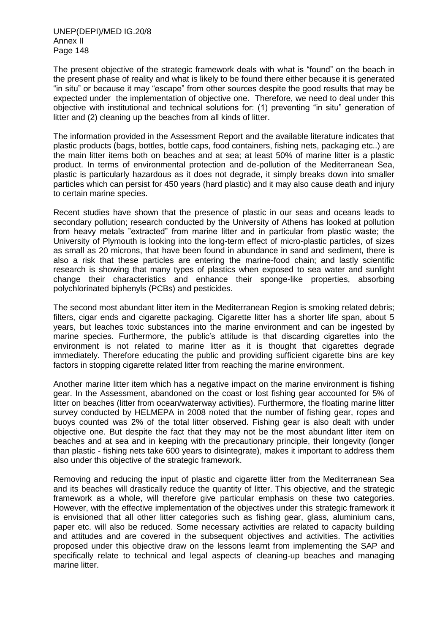The present objective of the strategic framework deals with what is "found" on the beach in the present phase of reality and what is likely to be found there either because it is generated "in situ" or because it may "escape" from other sources despite the good results that may be expected under the implementation of objective one. Therefore, we need to deal under this objective with institutional and technical solutions for: (1) preventing "in situ" generation of litter and (2) cleaning up the beaches from all kinds of litter.

The information provided in the Assessment Report and the available literature indicates that plastic products (bags, bottles, bottle caps, food containers, fishing nets, packaging etc..) are the main litter items both on beaches and at sea; at least 50% of marine litter is a plastic product. In terms of environmental protection and de-pollution of the Mediterranean Sea, plastic is particularly hazardous as it does not degrade, it simply breaks down into smaller particles which can persist for 450 years (hard plastic) and it may also cause death and injury to certain marine species.

Recent studies have shown that the presence of plastic in our seas and oceans leads to secondary pollution; research conducted by the University of Athens has looked at pollution from heavy metals "extracted" from marine litter and in particular from plastic waste; the University of Plymouth is looking into the long-term effect of micro-plastic particles, of sizes as small as 20 microns, that have been found in abundance in sand and sediment, there is also a risk that these particles are entering the marine-food chain; and lastly scientific research is showing that many types of plastics when exposed to sea water and sunlight change their characteristics and enhance their sponge-like properties, absorbing polychlorinated biphenyls (PCBs) and pesticides.

The second most abundant litter item in the Mediterranean Region is smoking related debris; filters, cigar ends and cigarette packaging. Cigarette litter has a shorter life span, about 5 years, but leaches toxic substances into the marine environment and can be ingested by marine species. Furthermore, the public's attitude is that discarding cigarettes into the environment is not related to marine litter as it is thought that cigarettes degrade immediately. Therefore educating the public and providing sufficient cigarette bins are key factors in stopping cigarette related litter from reaching the marine environment.

Another marine litter item which has a negative impact on the marine environment is fishing gear. In the Assessment, abandoned on the coast or lost fishing gear accounted for 5% of litter on beaches (litter from ocean/waterway activities). Furthermore, the floating marine litter survey conducted by HELMEPA in 2008 noted that the number of fishing gear, ropes and buoys counted was 2% of the total litter observed. Fishing gear is also dealt with under objective one. But despite the fact that they may not be the most abundant litter item on beaches and at sea and in keeping with the precautionary principle, their longevity (longer than plastic - fishing nets take 600 years to disintegrate), makes it important to address them also under this objective of the strategic framework.

Removing and reducing the input of plastic and cigarette litter from the Mediterranean Sea and its beaches will drastically reduce the quantity of litter. This objective, and the strategic framework as a whole, will therefore give particular emphasis on these two categories. However, with the effective implementation of the objectives under this strategic framework it is envisioned that all other litter categories such as fishing gear, glass, aluminium cans, paper etc. will also be reduced. Some necessary activities are related to capacity building and attitudes and are covered in the subsequent objectives and activities. The activities proposed under this objective draw on the lessons learnt from implementing the SAP and specifically relate to technical and legal aspects of cleaning-up beaches and managing marine litter.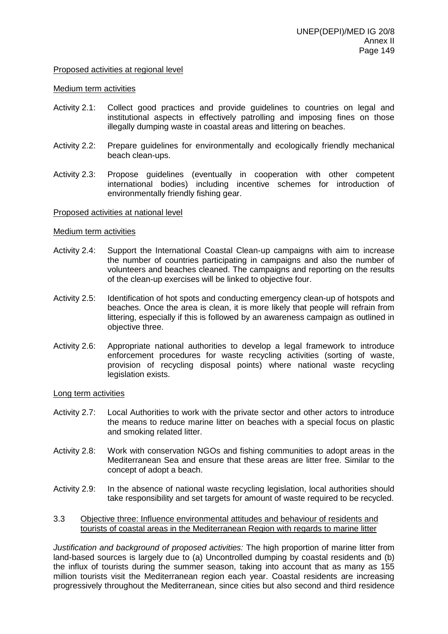#### Proposed activities at regional level

#### Medium term activities

- Activity 2.1: Collect good practices and provide guidelines to countries on legal and institutional aspects in effectively patrolling and imposing fines on those illegally dumping waste in coastal areas and littering on beaches.
- Activity 2.2: Prepare guidelines for environmentally and ecologically friendly mechanical beach clean-ups.
- Activity 2.3: Propose guidelines (eventually in cooperation with other competent international bodies) including incentive schemes for introduction of environmentally friendly fishing gear.

#### Proposed activities at national level

#### Medium term activities

- Activity 2.4: Support the International Coastal Clean-up campaigns with aim to increase the number of countries participating in campaigns and also the number of volunteers and beaches cleaned. The campaigns and reporting on the results of the clean-up exercises will be linked to objective four.
- Activity 2.5: Identification of hot spots and conducting emergency clean-up of hotspots and beaches. Once the area is clean, it is more likely that people will refrain from littering, especially if this is followed by an awareness campaign as outlined in objective three.
- Activity 2.6: Appropriate national authorities to develop a legal framework to introduce enforcement procedures for waste recycling activities (sorting of waste, provision of recycling disposal points) where national waste recycling legislation exists.

#### Long term activities

- Activity 2.7: Local Authorities to work with the private sector and other actors to introduce the means to reduce marine litter on beaches with a special focus on plastic and smoking related litter.
- Activity 2.8: Work with conservation NGOs and fishing communities to adopt areas in the Mediterranean Sea and ensure that these areas are litter free. Similar to the concept of adopt a beach.
- Activity 2.9: In the absence of national waste recycling legislation, local authorities should take responsibility and set targets for amount of waste required to be recycled.
- 3.3 Objective three: Influence environmental attitudes and behaviour of residents and tourists of coastal areas in the Mediterranean Region with regards to marine litter

*Justification and background of proposed activities:* The high proportion of marine litter from land-based sources is largely due to (a) Uncontrolled dumping by coastal residents and (b) the influx of tourists during the summer season, taking into account that as many as 155 million tourists visit the Mediterranean region each year. Coastal residents are increasing progressively throughout the Mediterranean, since cities but also second and third residence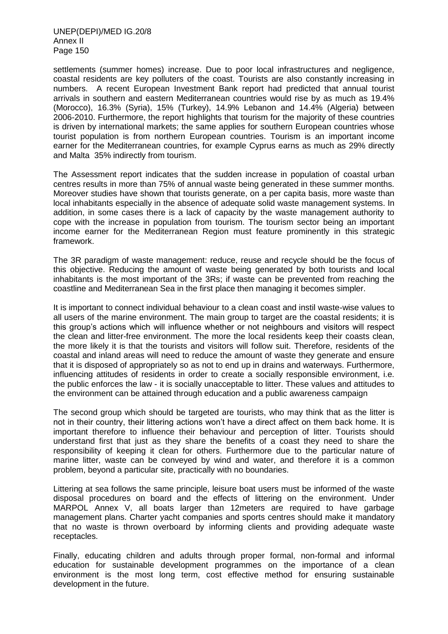UNEP(DEPI)/MED IG.20/8 Annex II Page 150

settlements (summer homes) increase. Due to poor local infrastructures and negligence, coastal residents are key polluters of the coast. Tourists are also constantly increasing in numbers. A recent European Investment Bank report had predicted that annual tourist arrivals in southern and eastern Mediterranean countries would rise by as much as 19.4% (Morocco), 16.3% (Syria), 15% (Turkey), 14.9% Lebanon and 14.4% (Algeria) between 2006-2010. Furthermore, the report highlights that tourism for the majority of these countries is driven by international markets; the same applies for southern European countries whose tourist population is from northern European countries. Tourism is an important income earner for the Mediterranean countries, for example Cyprus earns as much as 29% directly and Malta 35% indirectly from tourism.

The Assessment report indicates that the sudden increase in population of coastal urban centres results in more than 75% of annual waste being generated in these summer months. Moreover studies have shown that tourists generate, on a per capita basis, more waste than local inhabitants especially in the absence of adequate solid waste management systems. In addition, in some cases there is a lack of capacity by the waste management authority to cope with the increase in population from tourism. The tourism sector being an important income earner for the Mediterranean Region must feature prominently in this strategic framework.

The 3R paradigm of waste management: reduce, reuse and recycle should be the focus of this objective. Reducing the amount of waste being generated by both tourists and local inhabitants is the most important of the 3Rs; if waste can be prevented from reaching the coastline and Mediterranean Sea in the first place then managing it becomes simpler.

It is important to connect individual behaviour to a clean coast and instil waste-wise values to all users of the marine environment. The main group to target are the coastal residents; it is this group's actions which will influence whether or not neighbours and visitors will respect the clean and litter-free environment. The more the local residents keep their coasts clean, the more likely it is that the tourists and visitors will follow suit. Therefore, residents of the coastal and inland areas will need to reduce the amount of waste they generate and ensure that it is disposed of appropriately so as not to end up in drains and waterways. Furthermore, influencing attitudes of residents in order to create a socially responsible environment, i.e. the public enforces the law - it is socially unacceptable to litter. These values and attitudes to the environment can be attained through education and a public awareness campaign

The second group which should be targeted are tourists, who may think that as the litter is not in their country, their littering actions won't have a direct affect on them back home. It is important therefore to influence their behaviour and perception of litter. Tourists should understand first that just as they share the benefits of a coast they need to share the responsibility of keeping it clean for others. Furthermore due to the particular nature of marine litter, waste can be conveyed by wind and water, and therefore it is a common problem, beyond a particular site, practically with no boundaries.

Littering at sea follows the same principle, leisure boat users must be informed of the waste disposal procedures on board and the effects of littering on the environment. Under MARPOL Annex V, all boats larger than 12meters are required to have garbage management plans. Charter yacht companies and sports centres should make it mandatory that no waste is thrown overboard by informing clients and providing adequate waste receptacles.

Finally, educating children and adults through proper formal, non-formal and informal education for sustainable development programmes on the importance of a clean environment is the most long term, cost effective method for ensuring sustainable development in the future.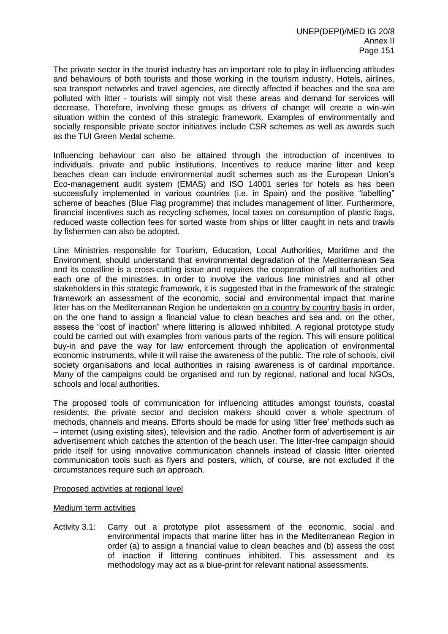The private sector in the tourist industry has an important role to play in influencing attitudes and behaviours of both tourists and those working in the tourism industry. Hotels, airlines, sea transport networks and travel agencies, are directly affected if beaches and the sea are polluted with litter - tourists will simply not visit these areas and demand for services will decrease. Therefore, involving these groups as drivers of change will create a win-win situation within the context of this strategic framework. Examples of environmentally and socially responsible private sector initiatives include CSR schemes as well as awards such as the TUI Green Medal scheme.

Influencing behaviour can also be attained through the introduction of incentives to individuals, private and public institutions. Incentives to reduce marine litter and keep beaches clean can include environmental audit schemes such as the European Union's Eco-management audit system (EMAS) and ISO 14001 series for hotels as has been successfully implemented in various countries (i.e. in Spain) and the positive "labelling" scheme of beaches (Blue Flag programme) that includes management of litter. Furthermore, financial incentives such as recycling schemes, local taxes on consumption of plastic bags, reduced waste collection fees for sorted waste from ships or litter caught in nets and trawls by fishermen can also be adopted.

Line Ministries responsible for Tourism, Education, Local Authorities, Maritime and the Environment, should understand that environmental degradation of the Mediterranean Sea and its coastline is a cross-cutting issue and requires the cooperation of all authorities and each one of the ministries. In order to involve the various line ministries and all other stakeholders in this strategic framework, it is suggested that in the framework of the strategic framework an assessment of the economic, social and environmental impact that marine litter has on the Mediterranean Region be undertaken on a country by country basis in order, on the one hand to assign a financial value to clean beaches and sea and, on the other, assess the "cost of inaction" where littering is allowed inhibited. A regional prototype study could be carried out with examples from various parts of the region. This will ensure political buy-in and pave the way for law enforcement through the application of environmental economic instruments, while it will raise the awareness of the public. The role of schools, civil society organisations and local authorities in raising awareness is of cardinal importance. Many of the campaigns could be organised and run by regional, national and local NGOs, schools and local authorities.

The proposed tools of communication for influencing attitudes amongst tourists, coastal residents, the private sector and decision makers should cover a whole spectrum of methods, channels and means. Efforts should be made for using 'litter free' methods such as – internet (using existing sites), television and the radio. Another form of advertisement is air advertisement which catches the attention of the beach user. The litter-free campaign should pride itself for using innovative communication channels instead of classic litter oriented communication tools such as flyers and posters, which, of course, are not excluded if the circumstances require such an approach.

#### Proposed activities at regional level

#### Medium term activities

Activity 3.1: Carry out a prototype pilot assessment of the economic, social and environmental impacts that marine litter has in the Mediterranean Region in order (a) to assign a financial value to clean beaches and (b) assess the cost of inaction if littering continues inhibited. This assessment and its methodology may act as a blue-print for relevant national assessments.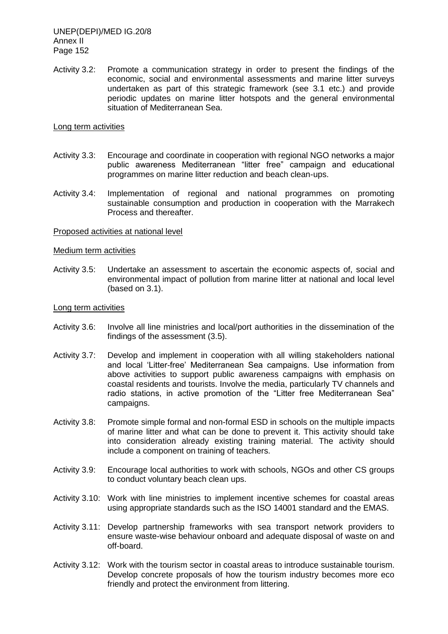UNEP(DEPI)/MED IG.20/8 Annex II Page 152

Activity 3.2: Promote a communication strategy in order to present the findings of the economic, social and environmental assessments and marine litter surveys undertaken as part of this strategic framework (see 3.1 etc.) and provide periodic updates on marine litter hotspots and the general environmental situation of Mediterranean Sea.

#### Long term activities

- Activity 3.3: Encourage and coordinate in cooperation with regional NGO networks a major public awareness Mediterranean "litter free" campaign and educational programmes on marine litter reduction and beach clean-ups.
- Activity 3.4: Implementation of regional and national programmes on promoting sustainable consumption and production in cooperation with the Marrakech Process and thereafter.

#### Proposed activities at national level

#### Medium term activities

Activity 3.5: Undertake an assessment to ascertain the economic aspects of, social and environmental impact of pollution from marine litter at national and local level (based on 3.1).

#### Long term activities

- Activity 3.6: Involve all line ministries and local/port authorities in the dissemination of the findings of the assessment (3.5).
- Activity 3.7: Develop and implement in cooperation with all willing stakeholders national and local 'Litter-free' Mediterranean Sea campaigns. Use information from above activities to support public awareness campaigns with emphasis on coastal residents and tourists. Involve the media, particularly TV channels and radio stations, in active promotion of the "Litter free Mediterranean Sea" campaigns.
- Activity 3.8: Promote simple formal and non-formal ESD in schools on the multiple impacts of marine litter and what can be done to prevent it. This activity should take into consideration already existing training material. The activity should include a component on training of teachers.
- Activity 3.9: Encourage local authorities to work with schools, NGOs and other CS groups to conduct voluntary beach clean ups.
- Activity 3.10: Work with line ministries to implement incentive schemes for coastal areas using appropriate standards such as the ISO 14001 standard and the EMAS.
- Activity 3.11: Develop partnership frameworks with sea transport network providers to ensure waste-wise behaviour onboard and adequate disposal of waste on and off-board.
- Activity 3.12: Work with the tourism sector in coastal areas to introduce sustainable tourism. Develop concrete proposals of how the tourism industry becomes more eco friendly and protect the environment from littering.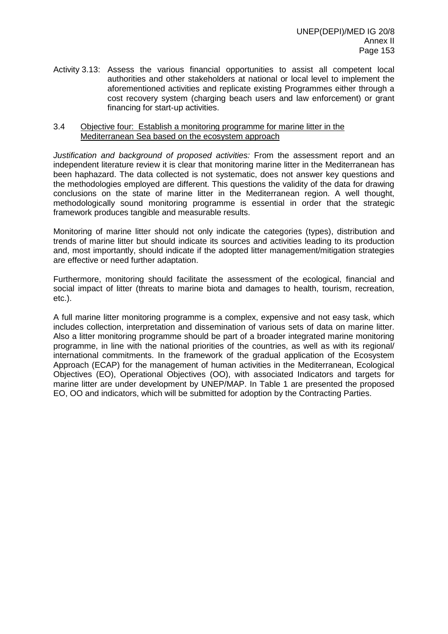Activity 3.13: Assess the various financial opportunities to assist all competent local authorities and other stakeholders at national or local level to implement the aforementioned activities and replicate existing Programmes either through a cost recovery system (charging beach users and law enforcement) or grant financing for start-up activities.

#### 3.4 Objective four: Establish a monitoring programme for marine litter in the Mediterranean Sea based on the ecosystem approach

*Justification and background of proposed activities:* From the assessment report and an independent literature review it is clear that monitoring marine litter in the Mediterranean has been haphazard. The data collected is not systematic, does not answer key questions and the methodologies employed are different. This questions the validity of the data for drawing conclusions on the state of marine litter in the Mediterranean region. A well thought, methodologically sound monitoring programme is essential in order that the strategic framework produces tangible and measurable results.

Monitoring of marine litter should not only indicate the categories (types), distribution and trends of marine litter but should indicate its sources and activities leading to its production and, most importantly, should indicate if the adopted litter management/mitigation strategies are effective or need further adaptation.

Furthermore, monitoring should facilitate the assessment of the ecological, financial and social impact of litter (threats to marine biota and damages to health, tourism, recreation, etc.).

A full marine litter monitoring programme is a complex, expensive and not easy task, which includes collection, interpretation and dissemination of various sets of data on marine litter. Also a litter monitoring programme should be part of a broader integrated marine monitoring programme, in line with the national priorities of the countries, as well as with its regional/ international commitments. In the framework of the gradual application of the Ecosystem Approach (ECAP) for the management of human activities in the Mediterranean, Ecological Objectives (EO), Operational Objectives (OO), with associated Indicators and targets for marine litter are under development by UNEP/MAP. In Table 1 are presented the proposed EO, OO and indicators, which will be submitted for adoption by the Contracting Parties.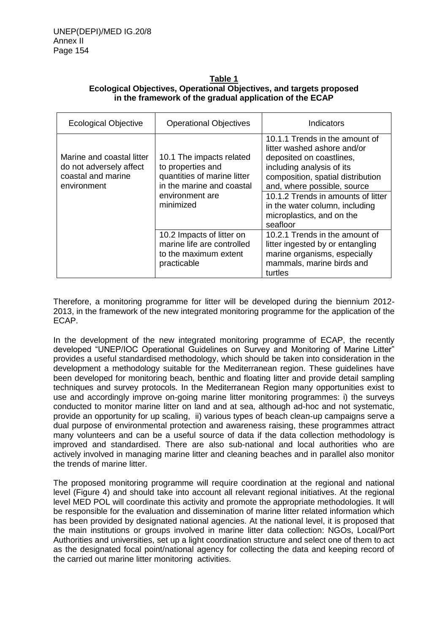#### **Table 1 Ecological Objectives, Operational Objectives, and targets proposed in the framework of the gradual application of the ECAP**

| <b>Ecological Objective</b>                                                               | <b>Operational Objectives</b>                                                                                                             | Indicators                                                                                                                                                                                                                                                                                                  |  |
|-------------------------------------------------------------------------------------------|-------------------------------------------------------------------------------------------------------------------------------------------|-------------------------------------------------------------------------------------------------------------------------------------------------------------------------------------------------------------------------------------------------------------------------------------------------------------|--|
| Marine and coastal litter<br>do not adversely affect<br>coastal and marine<br>environment | 10.1 The impacts related<br>to properties and<br>quantities of marine litter<br>in the marine and coastal<br>environment are<br>minimized | 10.1.1 Trends in the amount of<br>litter washed ashore and/or<br>deposited on coastlines,<br>including analysis of its<br>composition, spatial distribution<br>and, where possible, source<br>10.1.2 Trends in amounts of litter<br>in the water column, including<br>microplastics, and on the<br>seafloor |  |
|                                                                                           | 10.2 Impacts of litter on<br>marine life are controlled<br>to the maximum extent<br>practicable                                           | 10.2.1 Trends in the amount of<br>litter ingested by or entangling<br>marine organisms, especially<br>mammals, marine birds and<br>turtles                                                                                                                                                                  |  |

Therefore, a monitoring programme for litter will be developed during the biennium 2012- 2013, in the framework of the new integrated monitoring programme for the application of the ECAP.

In the development of the new integrated monitoring programme of ECAP, the recently developed "UNEP/IOC Operational Guidelines on Survey and Monitoring of Marine Litter" provides a useful standardised methodology, which should be taken into consideration in the development a methodology suitable for the Mediterranean region. These guidelines have been developed for monitoring beach, benthic and floating litter and provide detail sampling techniques and survey protocols. In the Mediterranean Region many opportunities exist to use and accordingly improve on-going marine litter monitoring programmes: i) the surveys conducted to monitor marine litter on land and at sea, although ad-hoc and not systematic, provide an opportunity for up scaling, ii) various types of beach clean-up campaigns serve a dual purpose of environmental protection and awareness raising, these programmes attract many volunteers and can be a useful source of data if the data collection methodology is improved and standardised. There are also sub-national and local authorities who are actively involved in managing marine litter and cleaning beaches and in parallel also monitor the trends of marine litter.

The proposed monitoring programme will require coordination at the regional and national level (Figure 4) and should take into account all relevant regional initiatives. At the regional level MED POL will coordinate this activity and promote the appropriate methodologies. It will be responsible for the evaluation and dissemination of marine litter related information which has been provided by designated national agencies. At the national level, it is proposed that the main institutions or groups involved in marine litter data collection: NGOs, Local/Port Authorities and universities, set up a light coordination structure and select one of them to act as the designated focal point/national agency for collecting the data and keeping record of the carried out marine litter monitoring activities.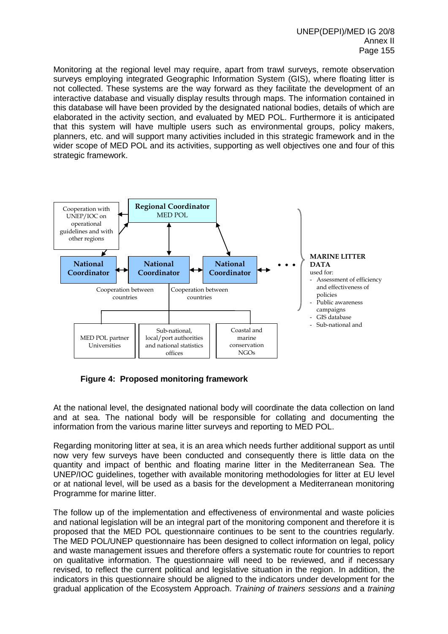Monitoring at the regional level may require, apart from trawl surveys, remote observation surveys employing integrated Geographic Information System (GIS), where floating litter is not collected. These systems are the way forward as they facilitate the development of an interactive database and visually display results through maps. The information contained in this database will have been provided by the designated national bodies, details of which are elaborated in the activity section, and evaluated by MED POL. Furthermore it is anticipated that this system will have multiple users such as environmental groups, policy makers, planners, etc. and will support many activities included in this strategic framework and in the wider scope of MED POL and its activities, supporting as well objectives one and four of this strategic framework.



**Figure 4: Proposed monitoring framework**

At the national level, the designated national body will coordinate the data collection on land and at sea. The national body will be responsible for collating and documenting the information from the various marine litter surveys and reporting to MED POL.

Regarding monitoring litter at sea, it is an area which needs further additional support as until now very few surveys have been conducted and consequently there is little data on the quantity and impact of benthic and floating marine litter in the Mediterranean Sea. The UNEP/IOC guidelines, together with available monitoring methodologies for litter at EU level or at national level, will be used as a basis for the development a Mediterranean monitoring Programme for marine litter.

The follow up of the implementation and effectiveness of environmental and waste policies and national legislation will be an integral part of the monitoring component and therefore it is proposed that the MED POL questionnaire continues to be sent to the countries regularly. The MED POL/UNEP questionnaire has been designed to collect information on legal, policy and waste management issues and therefore offers a systematic route for countries to report on qualitative information. The questionnaire will need to be reviewed, and if necessary revised, to reflect the current political and legislative situation in the region. In addition, the indicators in this questionnaire should be aligned to the indicators under development for the gradual application of the Ecosystem Approach. *Training of trainers sessions* and a *training*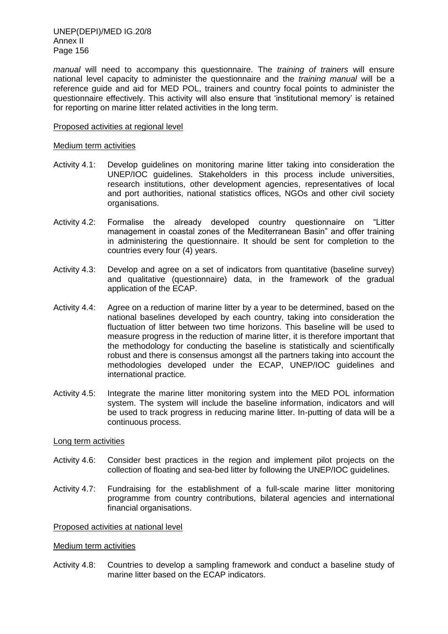UNEP(DEPI)/MED IG.20/8 Annex II Page 156

*manual* will need to accompany this questionnaire. The *training of trainers* will ensure national level capacity to administer the questionnaire and the *training manual* will be a reference guide and aid for MED POL, trainers and country focal points to administer the questionnaire effectively. This activity will also ensure that 'institutional memory' is retained for reporting on marine litter related activities in the long term.

#### Proposed activities at regional level

#### Medium term activities

- Activity 4.1: Develop guidelines on monitoring marine litter taking into consideration the UNEP/IOC guidelines. Stakeholders in this process include universities, research institutions, other development agencies, representatives of local and port authorities, national statistics offices, NGOs and other civil society organisations.
- Activity 4.2: Formalise the already developed country questionnaire on "Litter management in coastal zones of the Mediterranean Basin" and offer training in administering the questionnaire. It should be sent for completion to the countries every four (4) years.
- Activity 4.3: Develop and agree on a set of indicators from quantitative (baseline survey) and qualitative (questionnaire) data, in the framework of the gradual application of the ECAP.
- Activity 4.4: Agree on a reduction of marine litter by a year to be determined, based on the national baselines developed by each country, taking into consideration the fluctuation of litter between two time horizons. This baseline will be used to measure progress in the reduction of marine litter, it is therefore important that the methodology for conducting the baseline is statistically and scientifically robust and there is consensus amongst all the partners taking into account the methodologies developed under the ECAP, UNEP/IOC guidelines and international practice.
- Activity 4.5: Integrate the marine litter monitoring system into the MED POL information system. The system will include the baseline information, indicators and will be used to track progress in reducing marine litter. In-putting of data will be a continuous process.

#### Long term activities

- Activity 4.6: Consider best practices in the region and implement pilot projects on the collection of floating and sea-bed litter by following the UNEP/IOC guidelines.
- Activity 4.7: Fundraising for the establishment of a full-scale marine litter monitoring programme from country contributions, bilateral agencies and international financial organisations.

#### Proposed activities at national level

#### Medium term activities

Activity 4.8: Countries to develop a sampling framework and conduct a baseline study of marine litter based on the ECAP indicators.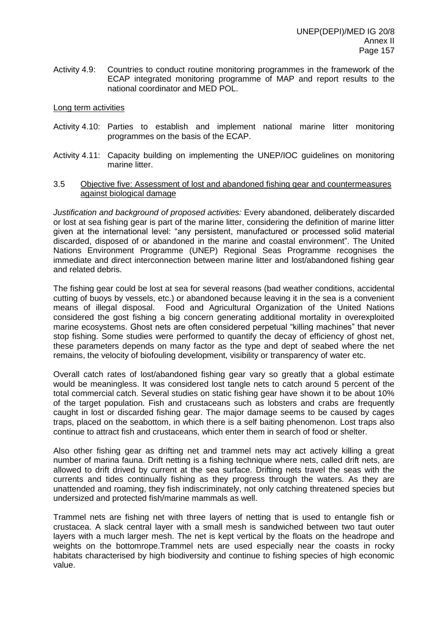Activity 4.9: Countries to conduct routine monitoring programmes in the framework of the ECAP integrated monitoring programme of MAP and report results to the national coordinator and MED POL.

#### Long term activities

- Activity 4.10: Parties to establish and implement national marine litter monitoring programmes on the basis of the ECAP.
- Activity 4.11: Capacity building on implementing the UNEP/IOC guidelines on monitoring marine litter.

#### 3.5 Objective five: Assessment of lost and abandoned fishing gear and countermeasures against biological damage

*Justification and background of proposed activities:* Every abandoned, deliberately discarded or lost at sea fishing gear is part of the marine litter, considering the definition of marine litter given at the international level: "any persistent, manufactured or processed solid material discarded, disposed of or abandoned in the marine and coastal environment". The United Nations Environment Programme (UNEP) Regional Seas Programme recognises the immediate and direct interconnection between marine litter and lost/abandoned fishing gear and related debris.

The fishing gear could be lost at sea for several reasons (bad weather conditions, accidental cutting of buoys by vessels, etc.) or abandoned because leaving it in the sea is a convenient means of illegal disposal. Food and Agricultural Organization of the United Nations considered the gost fishing a big concern generating additional mortality in overexploited marine ecosystems. Ghost nets are often considered perpetual "killing machines" that never stop fishing. Some studies were performed to quantify the decay of efficiency of ghost net, these parameters depends on many factor as the type and dept of seabed where the net remains, the velocity of biofouling development, visibility or transparency of water etc.

Overall catch rates of lost/abandoned fishing gear vary so greatly that a global estimate would be meaningless. It was considered lost tangle nets to catch around 5 percent of the total commercial catch. Several studies on static fishing gear have shown it to be about 10% of the target population. Fish and crustaceans such as lobsters and crabs are frequently caught in lost or discarded fishing gear. The major damage seems to be caused by cages traps, placed on the seabottom, in which there is a self baiting phenomenon. Lost traps also continue to attract fish and crustaceans, which enter them in search of food or shelter.

Also other fishing gear as drifting net and trammel nets may act actively killing a great number of marina fauna. Drift netting is a fishing technique where nets, called drift nets, are allowed to drift drived by current at the sea surface. Drifting nets travel the seas with the currents and tides continually fishing as they progress through the waters. As they are unattended and roaming, they fish indiscriminately, not only catching threatened species but undersized and protected fish/marine mammals as well.

Trammel nets are fishing net with three layers of netting that is used to entangle fish or crustacea. A slack central layer with a small mesh is sandwiched between two taut outer layers with a much larger mesh. The net is kept vertical by the floats on the headrope and weights on the bottomrope.Trammel nets are used especially near the coasts in rocky habitats characterised by high biodiversity and continue to fishing species of high economic value.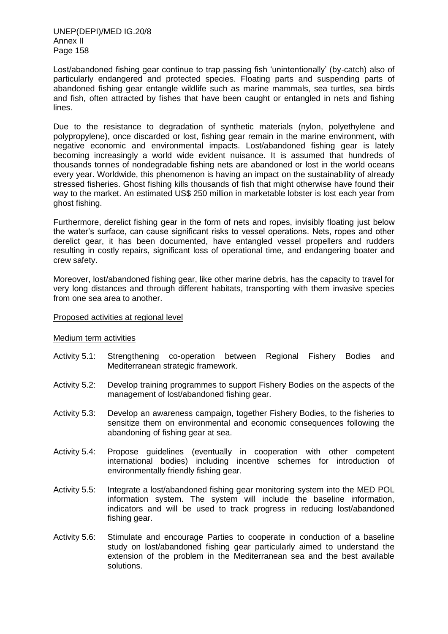Lost/abandoned fishing gear continue to trap passing fish 'unintentionally' (by-catch) also of particularly endangered and protected species. Floating parts and suspending parts of abandoned fishing gear entangle wildlife such as marine mammals, sea turtles, sea birds and fish, often attracted by fishes that have been caught or entangled in nets and fishing lines.

Due to the resistance to degradation of synthetic materials (nylon, polyethylene and polypropylene), once discarded or lost, fishing gear remain in the marine environment, with negative economic and environmental impacts. Lost/abandoned fishing gear is lately becoming increasingly a world wide evident nuisance. It is assumed that hundreds of thousands tonnes of nondegradable fishing nets are abandoned or lost in the world oceans every year. Worldwide, this phenomenon is having an impact on the sustainability of already stressed fisheries. Ghost fishing kills thousands of fish that might otherwise have found their way to the market. An estimated US\$ 250 million in marketable lobster is lost each year from ghost fishing.

Furthermore, derelict fishing gear in the form of nets and ropes, invisibly floating just below the water's surface, can cause significant risks to vessel operations. Nets, ropes and other derelict gear, it has been documented, have entangled vessel propellers and rudders resulting in costly repairs, significant loss of operational time, and endangering boater and crew safety.

Moreover, lost/abandoned fishing gear, like other marine debris, has the capacity to travel for very long distances and through different habitats, transporting with them invasive species from one sea area to another.

#### Proposed activities at regional level

#### Medium term activities

- Activity 5.1: Strengthening co-operation between Regional Fishery Bodies and Mediterranean strategic framework.
- Activity 5.2: Develop training programmes to support Fishery Bodies on the aspects of the management of lost/abandoned fishing gear.
- Activity 5.3: Develop an awareness campaign, together Fishery Bodies, to the fisheries to sensitize them on environmental and economic consequences following the abandoning of fishing gear at sea.
- Activity 5.4: Propose guidelines (eventually in cooperation with other competent international bodies) including incentive schemes for introduction of environmentally friendly fishing gear.
- Activity 5.5: Integrate a lost/abandoned fishing gear monitoring system into the MED POL information system. The system will include the baseline information, indicators and will be used to track progress in reducing lost/abandoned fishing gear.
- Activity 5.6: Stimulate and encourage Parties to cooperate in conduction of a baseline study on lost/abandoned fishing gear particularly aimed to understand the extension of the problem in the Mediterranean sea and the best available solutions.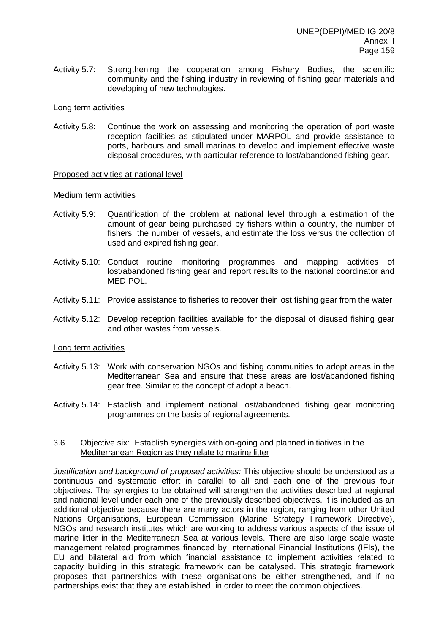Activity 5.7: Strengthening the cooperation among Fishery Bodies, the scientific community and the fishing industry in reviewing of fishing gear materials and developing of new technologies.

#### Long term activities

Activity 5.8: Continue the work on assessing and monitoring the operation of port waste reception facilities as stipulated under MARPOL and provide assistance to ports, harbours and small marinas to develop and implement effective waste disposal procedures, with particular reference to lost/abandoned fishing gear.

#### Proposed activities at national level

#### Medium term activities

- Activity 5.9: Quantification of the problem at national level through a estimation of the amount of gear being purchased by fishers within a country, the number of fishers, the number of vessels, and estimate the loss versus the collection of used and expired fishing gear.
- Activity 5.10: Conduct routine monitoring programmes and mapping activities of lost/abandoned fishing gear and report results to the national coordinator and MED POL.
- Activity 5.11: Provide assistance to fisheries to recover their lost fishing gear from the water
- Activity 5.12: Develop reception facilities available for the disposal of disused fishing gear and other wastes from vessels.

#### Long term activities

- Activity 5.13: Work with conservation NGOs and fishing communities to adopt areas in the Mediterranean Sea and ensure that these areas are lost/abandoned fishing gear free. Similar to the concept of adopt a beach.
- Activity 5.14: Establish and implement national lost/abandoned fishing gear monitoring programmes on the basis of regional agreements.

#### 3.6 Objective six: Establish synergies with on-going and planned initiatives in the Mediterranean Region as they relate to marine litter

*Justification and background of proposed activities:* This objective should be understood as a continuous and systematic effort in parallel to all and each one of the previous four objectives. The synergies to be obtained will strengthen the activities described at regional and national level under each one of the previously described objectives. It is included as an additional objective because there are many actors in the region, ranging from other United Nations Organisations, European Commission (Marine Strategy Framework Directive), NGOs and research institutes which are working to address various aspects of the issue of marine litter in the Mediterranean Sea at various levels. There are also large scale waste management related programmes financed by International Financial Institutions (IFIs), the EU and bilateral aid from which financial assistance to implement activities related to capacity building in this strategic framework can be catalysed. This strategic framework proposes that partnerships with these organisations be either strengthened, and if no partnerships exist that they are established, in order to meet the common objectives.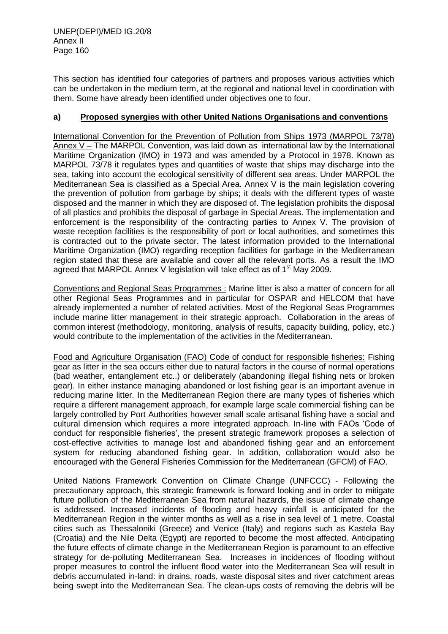This section has identified four categories of partners and proposes various activities which can be undertaken in the medium term, at the regional and national level in coordination with them. Some have already been identified under objectives one to four.

## **a) Proposed synergies with other United Nations Organisations and conventions**

International Convention for the Prevention of Pollution from Ships 1973 (MARPOL 73/78) Annex V – The MARPOL Convention, was laid down as international law by the International Maritime Organization (IMO) in 1973 and was amended by a Protocol in 1978. Known as MARPOL 73/78 it regulates types and quantities of waste that ships may discharge into the sea, taking into account the ecological sensitivity of different sea areas. Under MARPOL the Mediterranean Sea is classified as a Special Area. Annex V is the main legislation covering the prevention of pollution from garbage by ships; it deals with the different types of waste disposed and the manner in which they are disposed of. The legislation prohibits the disposal of all plastics and prohibits the disposal of garbage in Special Areas. The implementation and enforcement is the responsibility of the contracting parties to Annex V. The provision of waste reception facilities is the responsibility of port or local authorities, and sometimes this is contracted out to the private sector. The latest information provided to the International Maritime Organization (IMO) regarding reception facilities for garbage in the Mediterranean region stated that these are available and cover all the relevant ports. As a result the IMO agreed that MARPOL Annex V legislation will take effect as of 1<sup>st</sup> May 2009.

Conventions and Regional Seas Programmes : Marine litter is also a matter of concern for all other Regional Seas Programmes and in particular for OSPAR and HELCOM that have already implemented a number of related activities. Most of the Regional Seas Programmes include marine litter management in their strategic approach. Collaboration in the areas of common interest (methodology, monitoring, analysis of results, capacity building, policy, etc.) would contribute to the implementation of the activities in the Mediterranean.

Food and Agriculture Organisation (FAO) Code of conduct for responsible fisheries: Fishing gear as litter in the sea occurs either due to natural factors in the course of normal operations (bad weather, entanglement etc..) or deliberately (abandoning illegal fishing nets or broken gear). In either instance managing abandoned or lost fishing gear is an important avenue in reducing marine litter. In the Mediterranean Region there are many types of fisheries which require a different management approach, for example large scale commercial fishing can be largely controlled by Port Authorities however small scale artisanal fishing have a social and cultural dimension which requires a more integrated approach. In-line with FAOs 'Code of conduct for responsible fisheries', the present strategic framework proposes a selection of cost-effective activities to manage lost and abandoned fishing gear and an enforcement system for reducing abandoned fishing gear. In addition, collaboration would also be encouraged with the General Fisheries Commission for the Mediterranean (GFCM) of FAO.

United Nations Framework Convention on Climate Change (UNFCCC) - Following the precautionary approach, this strategic framework is forward looking and in order to mitigate future pollution of the Mediterranean Sea from natural hazards, the issue of climate change is addressed. Increased incidents of flooding and heavy rainfall is anticipated for the Mediterranean Region in the winter months as well as a rise in sea level of 1 metre. Coastal cities such as Thessaloniki (Greece) and Venice (Italy) and regions such as Kastela Bay (Croatia) and the Nile Delta (Egypt) are reported to become the most affected. Anticipating the future effects of climate change in the Mediterranean Region is paramount to an effective strategy for de-polluting Mediterranean Sea. Increases in incidences of flooding without proper measures to control the influent flood water into the Mediterranean Sea will result in debris accumulated in-land: in drains, roads, waste disposal sites and river catchment areas being swept into the Mediterranean Sea. The clean-ups costs of removing the debris will be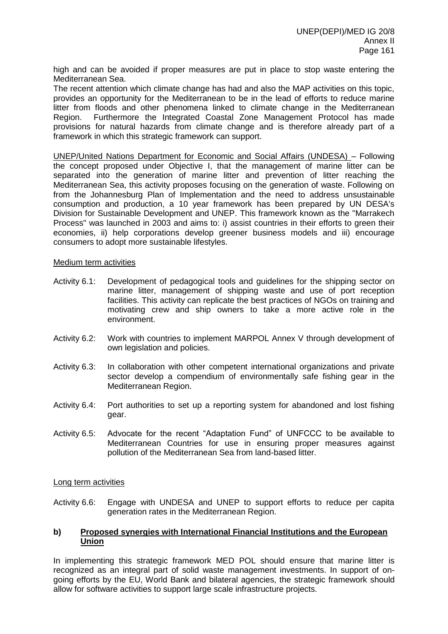high and can be avoided if proper measures are put in place to stop waste entering the Mediterranean Sea.

The recent attention which climate change has had and also the MAP activities on this topic, provides an opportunity for the Mediterranean to be in the lead of efforts to reduce marine litter from floods and other phenomena linked to climate change in the Mediterranean Region. Furthermore the Integrated Coastal Zone Management Protocol has made provisions for natural hazards from climate change and is therefore already part of a framework in which this strategic framework can support.

UNEP/United Nations Department for Economic and Social Affairs (UNDESA) – Following the concept proposed under Objective I, that the management of marine litter can be separated into the generation of marine litter and prevention of litter reaching the Mediterranean Sea, this activity proposes focusing on the generation of waste. Following on from the Johannesburg Plan of Implementation and the need to address unsustainable consumption and production, a 10 year framework has been prepared by UN DESA's Division for Sustainable Development and UNEP. This framework known as the "Marrakech Process" was launched in 2003 and aims to: i) assist countries in their efforts to green their economies, ii) help corporations develop greener business models and iii) encourage consumers to adopt more sustainable lifestyles.

#### Medium term activities

- Activity 6.1: Development of pedagogical tools and guidelines for the shipping sector on marine litter, management of shipping waste and use of port reception facilities. This activity can replicate the best practices of NGOs on training and motivating crew and ship owners to take a more active role in the environment.
- Activity 6.2: Work with countries to implement MARPOL Annex V through development of own legislation and policies.
- Activity 6.3: In collaboration with other competent international organizations and private sector develop a compendium of environmentally safe fishing gear in the Mediterranean Region.
- Activity 6.4: Port authorities to set up a reporting system for abandoned and lost fishing gear.
- Activity 6.5: Advocate for the recent "Adaptation Fund" of UNFCCC to be available to Mediterranean Countries for use in ensuring proper measures against pollution of the Mediterranean Sea from land-based litter.

#### Long term activities

Activity 6.6: Engage with UNDESA and UNEP to support efforts to reduce per capita generation rates in the Mediterranean Region.

## **b) Proposed synergies with International Financial Institutions and the European Union**

In implementing this strategic framework MED POL should ensure that marine litter is recognized as an integral part of solid waste management investments. In support of ongoing efforts by the EU, World Bank and bilateral agencies, the strategic framework should allow for software activities to support large scale infrastructure projects.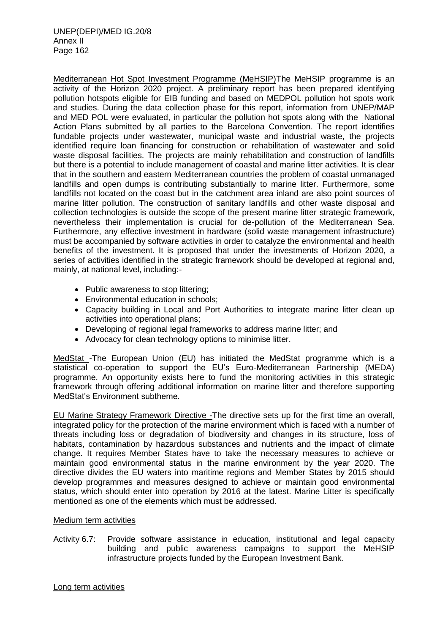Mediterranean Hot Spot Investment Programme (MeHSIP)The MeHSIP programme is an activity of the Horizon 2020 project. A preliminary report has been prepared identifying pollution hotspots eligible for EIB funding and based on MEDPOL pollution hot spots work and studies. During the data collection phase for this report, information from UNEP/MAP and MED POL were evaluated, in particular the pollution hot spots along with the National Action Plans submitted by all parties to the Barcelona Convention. The report identifies fundable projects under wastewater, municipal waste and industrial waste, the projects identified require loan financing for construction or rehabilitation of wastewater and solid waste disposal facilities. The projects are mainly rehabilitation and construction of landfills but there is a potential to include management of coastal and marine litter activities. It is clear that in the southern and eastern Mediterranean countries the problem of coastal unmanaged landfills and open dumps is contributing substantially to marine litter. Furthermore, some landfills not located on the coast but in the catchment area inland are also point sources of marine litter pollution. The construction of sanitary landfills and other waste disposal and collection technologies is outside the scope of the present marine litter strategic framework, nevertheless their implementation is crucial for de-pollution of the Mediterranean Sea. Furthermore, any effective investment in hardware (solid waste management infrastructure) must be accompanied by software activities in order to catalyze the environmental and health benefits of the investment. It is proposed that under the investments of Horizon 2020, a series of activities identified in the strategic framework should be developed at regional and, mainly, at national level, including:-

- Public awareness to stop littering;
- Environmental education in schools;
- Capacity building in Local and Port Authorities to integrate marine litter clean up activities into operational plans;
- Developing of regional legal frameworks to address marine litter; and
- Advocacy for clean technology options to minimise litter.

MedStat -The European Union (EU) has initiated the MedStat programme which is a statistical co-operation to support the EU's Euro-Mediterranean Partnership (MEDA) programme. An opportunity exists here to fund the monitoring activities in this strategic framework through offering additional information on marine litter and therefore supporting MedStat's Environment subtheme.

EU Marine Strategy Framework Directive -The directive sets up for the first time an overall, integrated policy for the protection of the marine environment which is faced with a number of threats including loss or degradation of biodiversity and changes in its structure, loss of habitats, contamination by hazardous substances and nutrients and the impact of climate change. It requires Member States have to take the necessary measures to achieve or maintain good environmental status in the marine environment by the year 2020. The directive divides the EU waters into maritime regions and Member States by 2015 should develop programmes and measures designed to achieve or maintain good environmental status, which should enter into operation by 2016 at the latest. Marine Litter is specifically mentioned as one of the elements which must be addressed.

#### Medium term activities

Activity 6.7: Provide software assistance in education, institutional and legal capacity building and public awareness campaigns to support the MeHSIP infrastructure projects funded by the European Investment Bank.

Long term activities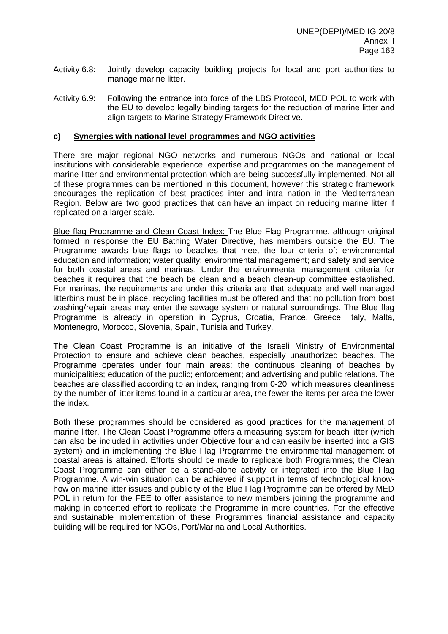- Activity 6.8: Jointly develop capacity building projects for local and port authorities to manage marine litter.
- Activity 6.9: Following the entrance into force of the LBS Protocol, MED POL to work with the EU to develop legally binding targets for the reduction of marine litter and align targets to Marine Strategy Framework Directive.

#### **c) Synergies with national level programmes and NGO activities**

There are major regional NGO networks and numerous NGOs and national or local institutions with considerable experience, expertise and programmes on the management of marine litter and environmental protection which are being successfully implemented. Not all of these programmes can be mentioned in this document, however this strategic framework encourages the replication of best practices inter and intra nation in the Mediterranean Region. Below are two good practices that can have an impact on reducing marine litter if replicated on a larger scale.

Blue flag Programme and Clean Coast Index: The Blue Flag Programme, although original formed in response the EU Bathing Water Directive, has members outside the EU. The Programme awards blue flags to beaches that meet the four criteria of; environmental education and information; water quality; environmental management; and safety and service for both coastal areas and marinas. Under the environmental management criteria for beaches it requires that the beach be clean and a beach clean-up committee established. For marinas, the requirements are under this criteria are that adequate and well managed litterbins must be in place, recycling facilities must be offered and that no pollution from boat washing/repair areas may enter the sewage system or natural surroundings. The Blue flag Programme is already in operation in Cyprus, Croatia, France, Greece, Italy, Malta, Montenegro, Morocco, Slovenia, Spain, Tunisia and Turkey.

The Clean Coast Programme is an initiative of the Israeli Ministry of Environmental Protection to ensure and achieve clean beaches, especially unauthorized beaches. The Programme operates under four main areas: the continuous cleaning of beaches by municipalities; education of the public; enforcement; and advertising and public relations. The beaches are classified according to an index, ranging from 0-20, which measures cleanliness by the number of litter items found in a particular area, the fewer the items per area the lower the index.

Both these programmes should be considered as good practices for the management of marine litter. The Clean Coast Programme offers a measuring system for beach litter (which can also be included in activities under Objective four and can easily be inserted into a GIS system) and in implementing the Blue Flag Programme the environmental management of coastal areas is attained. Efforts should be made to replicate both Programmes; the Clean Coast Programme can either be a stand-alone activity or integrated into the Blue Flag Programme. A win-win situation can be achieved if support in terms of technological knowhow on marine litter issues and publicity of the Blue Flag Programme can be offered by MED POL in return for the FEE to offer assistance to new members joining the programme and making in concerted effort to replicate the Programme in more countries. For the effective and sustainable implementation of these Programmes financial assistance and capacity building will be required for NGOs, Port/Marina and Local Authorities.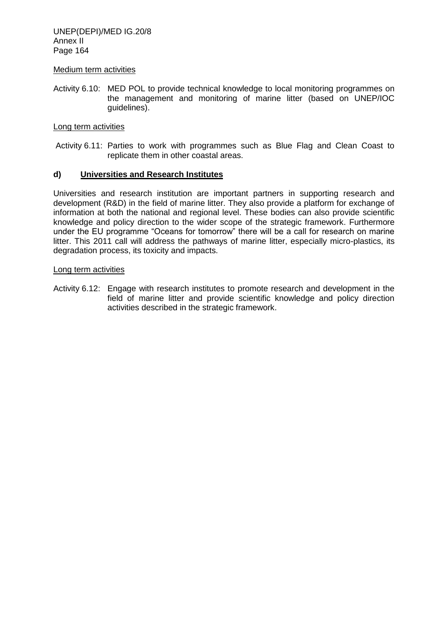UNEP(DEPI)/MED IG.20/8 Annex II Page 164

#### Medium term activities

Activity 6.10: MED POL to provide technical knowledge to local monitoring programmes on the management and monitoring of marine litter (based on UNEP/IOC guidelines).

#### Long term activities

Activity 6.11: Parties to work with programmes such as Blue Flag and Clean Coast to replicate them in other coastal areas.

#### **d) Universities and Research Institutes**

Universities and research institution are important partners in supporting research and development (R&D) in the field of marine litter. They also provide a platform for exchange of information at both the national and regional level. These bodies can also provide scientific knowledge and policy direction to the wider scope of the strategic framework. Furthermore under the EU programme "Oceans for tomorrow" there will be a call for research on marine litter. This 2011 call will address the pathways of marine litter, especially micro-plastics, its degradation process, its toxicity and impacts.

#### Long term activities

Activity 6.12: Engage with research institutes to promote research and development in the field of marine litter and provide scientific knowledge and policy direction activities described in the strategic framework.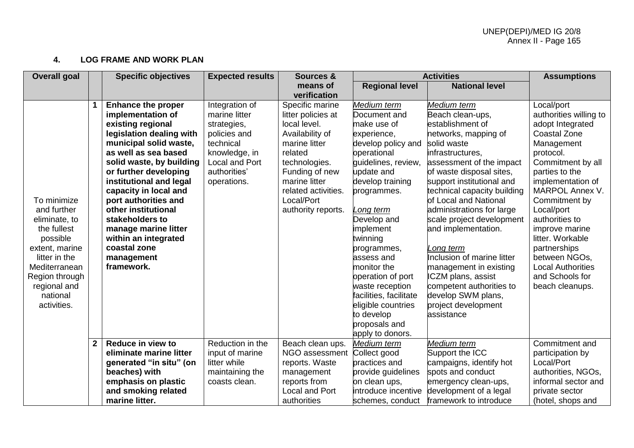## **4. LOG FRAME AND WORK PLAN**

| <b>Overall goal</b> |              | <b>Specific objectives</b> | <b>Expected results</b> | Sources &             | <b>Activities</b>      |                             | <b>Assumptions</b>       |
|---------------------|--------------|----------------------------|-------------------------|-----------------------|------------------------|-----------------------------|--------------------------|
|                     |              |                            |                         | means of              | <b>Regional level</b>  | <b>National level</b>       |                          |
|                     |              |                            |                         | verification          |                        |                             |                          |
|                     |              | <b>Enhance the proper</b>  | Integration of          | Specific marine       | Medium term            | Medium term                 | Local/port               |
|                     |              | implementation of          | marine litter           | litter policies at    | Document and           | Beach clean-ups,            | authorities willing to   |
|                     |              | existing regional          | strategies,             | local level.          | make use of            | establishment of            | adopt Integrated         |
|                     |              | legislation dealing with   | policies and            | Availability of       | experience,            | networks, mapping of        | <b>Coastal Zone</b>      |
|                     |              | municipal solid waste,     | technical               | marine litter         | develop policy and     | solid waste                 | Management               |
|                     |              | as well as sea based       | knowledge, in           | related               | operational            | infrastructures.            | protocol.                |
|                     |              | solid waste, by building   | Local and Port          | technologies.         | guidelines, review,    | assessment of the impact    | Commitment by all        |
|                     |              | or further developing      | authorities'            | Funding of new        | update and             | of waste disposal sites,    | parties to the           |
|                     |              | institutional and legal    | operations.             | marine litter         | develop training       | support institutional and   | implementation of        |
|                     |              | capacity in local and      |                         | related activities.   | programmes.            | technical capacity building | MARPOL Annex V.          |
| To minimize         |              | port authorities and       |                         | Local/Port            |                        | of Local and National       | Commitment by            |
| and further         |              | other institutional        |                         | authority reports.    | Long term              | administrations for large   | Local/port               |
| eliminate, to       |              | stakeholders to            |                         |                       | Develop and            | scale project development   | authorities to           |
| the fullest         |              | manage marine litter       |                         |                       | implement              | and implementation.         | improve marine           |
| possible            |              | within an integrated       |                         |                       | twinning               |                             | litter. Workable         |
| extent, marine      |              | coastal zone               |                         |                       | programmes,            | Long term                   | partnerships             |
| litter in the       |              | management                 |                         |                       | assess and             | Inclusion of marine litter  | between NGOs,            |
| Mediterranean       |              | framework.                 |                         |                       | monitor the            | management in existing      | <b>Local Authorities</b> |
| Region through      |              |                            |                         |                       | operation of port      | ICZM plans, assist          | and Schools for          |
| regional and        |              |                            |                         |                       | waste reception        | competent authorities to    | beach cleanups.          |
| national            |              |                            |                         |                       | facilities, facilitate | develop SWM plans,          |                          |
| activities.         |              |                            |                         |                       | eligible countries     | project development         |                          |
|                     |              |                            |                         |                       | to develop             | assistance                  |                          |
|                     |              |                            |                         |                       | proposals and          |                             |                          |
|                     |              |                            |                         |                       | apply to donors.       |                             |                          |
|                     | $\mathbf{2}$ | Reduce in view to          | Reduction in the        | Beach clean ups.      | Medium term            | Medium term                 | Commitment and           |
|                     |              | eliminate marine litter    | input of marine         | NGO assessment        | Collect good           | Support the ICC             | participation by         |
|                     |              | generated "in situ" (on    | litter while            | reports. Waste        | practices and          | campaigns, identify hot     | Local/Port               |
|                     |              | beaches) with              | maintaining the         | management            | provide guidelines     | spots and conduct           | authorities, NGOs,       |
|                     |              | emphasis on plastic        | coasts clean.           | reports from          | on clean ups,          | emergency clean-ups,        | informal sector and      |
|                     |              | and smoking related        |                         | <b>Local and Port</b> | introduce incentive    | development of a legal      | private sector           |
|                     |              | marine litter.             |                         | authorities           | schemes, conduct       | framework to introduce      | (hotel, shops and        |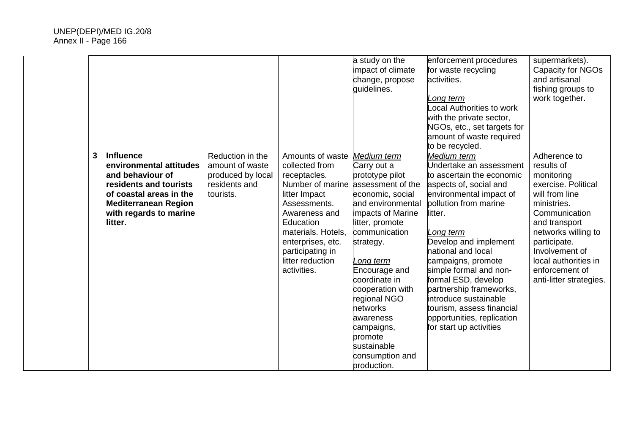|   |                                                                                                                                                                                          |                                                                                        |                                                                                                                                                                                                                                         | a study on the<br>impact of climate<br>change, propose<br>quidelines.                                                                                                                                                                                                                                                                                                   | enforcement procedures<br>for waste recycling<br>activities.<br>Long term<br>Local Authorities to work<br>with the private sector,<br>NGOs, etc., set targets for<br>amount of waste required<br>to be recycled.                                                                                                                                                                                                                          | supermarkets).<br>Capacity for NGOs<br>and artisanal<br>fishing groups to<br>work together.                                                                                                                                                                      |
|---|------------------------------------------------------------------------------------------------------------------------------------------------------------------------------------------|----------------------------------------------------------------------------------------|-----------------------------------------------------------------------------------------------------------------------------------------------------------------------------------------------------------------------------------------|-------------------------------------------------------------------------------------------------------------------------------------------------------------------------------------------------------------------------------------------------------------------------------------------------------------------------------------------------------------------------|-------------------------------------------------------------------------------------------------------------------------------------------------------------------------------------------------------------------------------------------------------------------------------------------------------------------------------------------------------------------------------------------------------------------------------------------|------------------------------------------------------------------------------------------------------------------------------------------------------------------------------------------------------------------------------------------------------------------|
| 3 | <b>Influence</b><br>environmental attitudes<br>and behaviour of<br>residents and tourists<br>of coastal areas in the<br><b>Mediterranean Region</b><br>with regards to marine<br>litter. | Reduction in the<br>amount of waste<br>produced by local<br>residents and<br>tourists. | Amounts of waste<br>collected from<br>receptacles.<br>Number of marine<br>litter Impact<br>Assessments.<br>Awareness and<br>Education<br>materials. Hotels,<br>enterprises, etc.<br>participating in<br>litter reduction<br>activities. | Medium term<br>Carry out a<br>prototype pilot<br>assessment of the<br>economic, social<br>and environmental<br>impacts of Marine<br>litter, promote<br>communication<br>strategy.<br>Long term<br>Encourage and<br>coordinate in<br>cooperation with<br>regional NGO<br>networks<br>awareness<br>campaigns,<br>promote<br>sustainable<br>consumption and<br>production. | Medium term<br>Undertake an assessment<br>to ascertain the economic<br>aspects of, social and<br>environmental impact of<br>pollution from marine<br>litter.<br>Long term<br>Develop and implement<br>national and local<br>campaigns, promote<br>simple formal and non-<br>formal ESD, develop<br>partnership frameworks,<br>introduce sustainable<br>tourism, assess financial<br>opportunities, replication<br>for start up activities | Adherence to<br>results of<br>monitoring<br>exercise. Political<br>will from line<br>ministries.<br>Communication<br>and transport<br>networks willing to<br>participate.<br>Involvement of<br>local authorities in<br>enforcement of<br>anti-litter strategies. |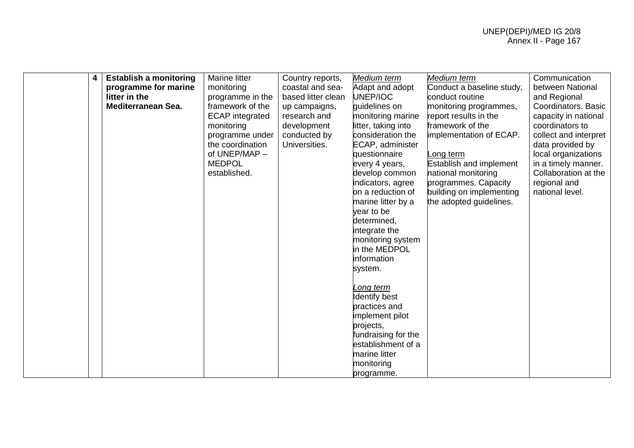| 4 | <b>Establish a monitoring</b> | Marine litter          | Country reports,   | Medium term                  | Medium term                    | Communication         |
|---|-------------------------------|------------------------|--------------------|------------------------------|--------------------------------|-----------------------|
|   | programme for marine          | monitoring             | coastal and sea-   | Adapt and adopt              | Conduct a baseline study,      | between National      |
|   | litter in the                 | programme in the       | based litter clean | UNEP/IOC                     | conduct routine                | and Regional          |
|   | <b>Mediterranean Sea.</b>     | framework of the       | up campaigns,      | quidelines on                | monitoring programmes,         | Coordinators. Basic   |
|   |                               | <b>ECAP</b> integrated | research and       | monitoring marine            | report results in the          | capacity in national  |
|   |                               | monitoring             | development        | litter, taking into          | framework of the               | coordinators to       |
|   |                               | programme under        | conducted by       | consideration the            | implementation of ECAP.        | collect and interpret |
|   |                               | the coordination       | Universities.      | ECAP, administer             |                                | data provided by      |
|   |                               | of UNEP/MAP -          |                    | questionnaire                | Long term                      | local organizations   |
|   |                               | <b>MEDPOL</b>          |                    | every 4 years,               | <b>Establish and implement</b> | in a timely manner.   |
|   |                               | established.           |                    | develop common               | national monitoring            | Collaboration at the  |
|   |                               |                        |                    | indicators, agree            | programmes. Capacity           | regional and          |
|   |                               |                        |                    | on a reduction of            | building on implementing       | national level.       |
|   |                               |                        |                    | marine litter by a           | the adopted guidelines.        |                       |
|   |                               |                        |                    | year to be                   |                                |                       |
|   |                               |                        |                    | determined,                  |                                |                       |
|   |                               |                        |                    | integrate the                |                                |                       |
|   |                               |                        |                    | monitoring system            |                                |                       |
|   |                               |                        |                    | in the MEDPOL<br>information |                                |                       |
|   |                               |                        |                    |                              |                                |                       |
|   |                               |                        |                    | system.                      |                                |                       |
|   |                               |                        |                    | Long term                    |                                |                       |
|   |                               |                        |                    | Identify best                |                                |                       |
|   |                               |                        |                    | practices and                |                                |                       |
|   |                               |                        |                    | implement pilot              |                                |                       |
|   |                               |                        |                    | projects,                    |                                |                       |
|   |                               |                        |                    | fundraising for the          |                                |                       |
|   |                               |                        |                    | establishment of a           |                                |                       |
|   |                               |                        |                    | marine litter                |                                |                       |
|   |                               |                        |                    | monitoring                   |                                |                       |
|   |                               |                        |                    | programme.                   |                                |                       |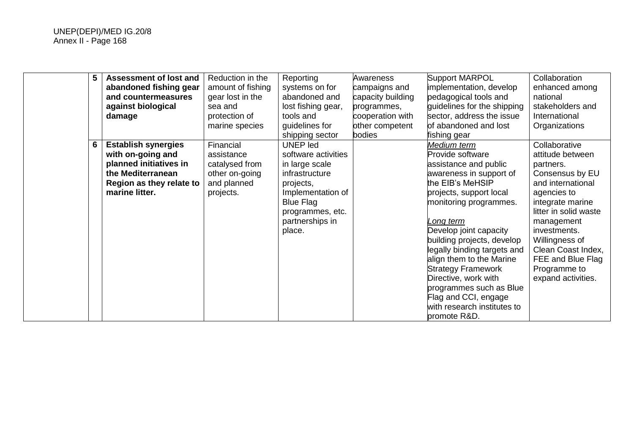| 5 | <b>Assessment of lost and</b><br>abandoned fishing gear<br>and countermeasures<br>against biological<br>damage                               | Reduction in the<br>amount of fishing<br>gear lost in the<br>sea and<br>protection of<br>marine species | Reporting<br>systems on for<br>abandoned and<br>lost fishing gear,<br>tools and<br>guidelines for<br>shipping sector                                                              | Awareness<br>campaigns and<br>capacity building<br>programmes,<br>cooperation with<br>other competent<br>bodies | Support MARPOL<br>implementation, develop<br>pedagogical tools and<br>guidelines for the shipping<br>sector, address the issue<br>of abandoned and lost<br>fishing gear                                                                                                                                                                                                                                                                             | Collaboration<br>enhanced among<br>national<br>stakeholders and<br>International<br>Organizations                                                                                                                                                                                   |
|---|----------------------------------------------------------------------------------------------------------------------------------------------|---------------------------------------------------------------------------------------------------------|-----------------------------------------------------------------------------------------------------------------------------------------------------------------------------------|-----------------------------------------------------------------------------------------------------------------|-----------------------------------------------------------------------------------------------------------------------------------------------------------------------------------------------------------------------------------------------------------------------------------------------------------------------------------------------------------------------------------------------------------------------------------------------------|-------------------------------------------------------------------------------------------------------------------------------------------------------------------------------------------------------------------------------------------------------------------------------------|
| 6 | <b>Establish synergies</b><br>with on-going and<br>planned initiatives in<br>the Mediterranean<br>Region as they relate to<br>marine litter. | Financial<br>assistance<br>catalysed from<br>other on-going<br>and planned<br>projects.                 | <b>UNEP led</b><br>software activities<br>in large scale<br>infrastructure<br>projects,<br>Implementation of<br><b>Blue Flag</b><br>programmes, etc.<br>partnerships in<br>place. |                                                                                                                 | Medium term<br>Provide software<br>assistance and public<br>awareness in support of<br>the EIB's MeHSIP<br>projects, support local<br>monitoring programmes.<br>Long term<br>Develop joint capacity<br>building projects, develop<br>legally binding targets and<br>align them to the Marine<br><b>Strategy Framework</b><br>Directive, work with<br>programmes such as Blue<br>Flag and CCI, engage<br>with research institutes to<br>promote R&D. | Collaborative<br>attitude between<br>partners.<br>Consensus by EU<br>and international<br>agencies to<br>integrate marine<br>litter in solid waste<br>management<br>investments.<br>Willingness of<br>Clean Coast Index,<br>FEE and Blue Flag<br>Programme to<br>expand activities. |